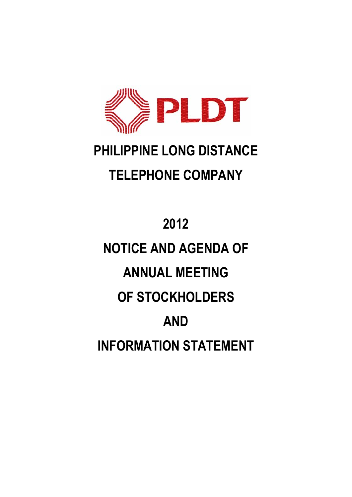

# **PHILIPPINE LONG DISTANCE TELEPHONE COMPANY**

# **2012 NOTICE AND AGENDA OF ANNUAL MEETING OF STOCKHOLDERS AND INFORMATION STATEMENT**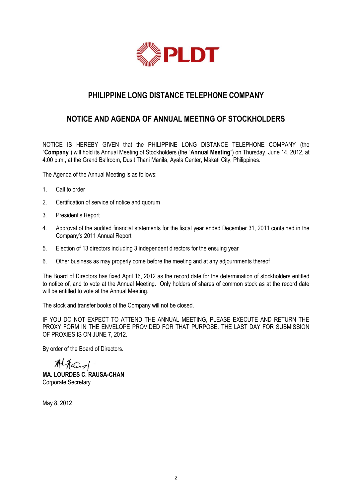

# **PHILIPPINE LONG DISTANCE TELEPHONE COMPANY**

# **NOTICE AND AGENDA OF ANNUAL MEETING OF STOCKHOLDERS**

NOTICE IS HEREBY GIVEN that the PHILIPPINE LONG DISTANCE TELEPHONE COMPANY (the "**Company**") will hold its Annual Meeting of Stockholders (the "**Annual Meeting**") on Thursday, June 14, 2012, at 4:00 p.m., at the Grand Ballroom, Dusit Thani Manila, Ayala Center, Makati City, Philippines.

The Agenda of the Annual Meeting is as follows:

- 1. Call to order
- 2. Certification of service of notice and quorum
- 3. President's Report
- 4. Approval of the audited financial statements for the fiscal year ended December 31, 2011 contained in the Company's 2011 Annual Report
- 5. Election of 13 directors including 3 independent directors for the ensuing year
- 6. Other business as may properly come before the meeting and at any adjournments thereof

The Board of Directors has fixed April 16, 2012 as the record date for the determination of stockholders entitled to notice of, and to vote at the Annual Meeting. Only holders of shares of common stock as at the record date will be entitled to vote at the Annual Meeting.

The stock and transfer books of the Company will not be closed.

IF YOU DO NOT EXPECT TO ATTEND THE ANNUAL MEETING, PLEASE EXECUTE AND RETURN THE PROXY FORM IN THE ENVELOPE PROVIDED FOR THAT PURPOSE. THE LAST DAY FOR SUBMISSION OF PROXIES IS ON JUNE 7, 2012.

By order of the Board of Directors.

Altans **MA. LOURDES C. RAUSA-CHAN** Corporate Secretary

May 8, 2012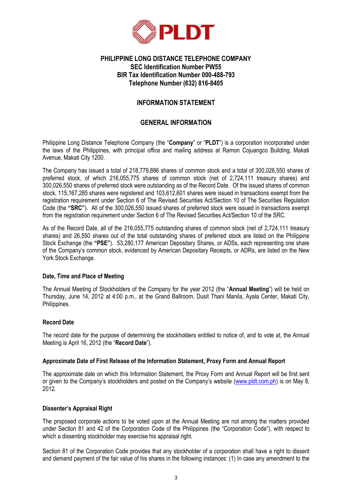

#### **PHILIPPINE LONG DISTANCE TELEPHONE COMPANY SEC Identification Number PW55 BIR Tax Identification Number 000-488-793 Telephone Number (632) 816-8405**

#### **INFORMATION STATEMENT**

#### **GENERAL INFORMATION**

Philippine Long Distance Telephone Company (the "**Company**" or "**PLDT**") is a corporation incorporated under the laws of the Philippines, with principal office and mailing address at Ramon Cojuangco Building, Makati Avenue, Makati City 1200.

The Company has issued a total of 218,779,886 shares of common stock and a total of 300,026,550 shares of preferred stock, of which 216,055,775 shares of common stock (net of 2,724,111 treasury shares) and 300,026,550 shares of preferred stock were outstanding as of the Record Date. Of the issued shares of common stock, 115,167,285 shares were registered and 103,612,601 shares were issued in transactions exempt from the registration requirement under Section 6 of The Revised Securities Act/Section 10 of The Securities Regulation Code (the **"SRC"**). All of the 300,026,550 issued shares of preferred stock were issued in transactions exempt from the registration requirement under Section 6 of The Revised Securities Act/Section 10 of the SRC.

As of the Record Date, all of the 216,055,775 outstanding shares of common stock (net of 2,724,111 treasury shares) and 26,550 shares out of the total outstanding shares of preferred stock are listed on the Philippine Stock Exchange (the **"PSE"**). 53,280,177 American Depositary Shares, or ADSs, each representing one share of the Company's common stock, evidenced by American Depositary Receipts, or ADRs, are listed on the New York Stock Exchange.

#### **Date, Time and Place of Meeting**

The Annual Meeting of Stockholders of the Company for the year 2012 (the "**Annual Meeting**") will be held on Thursday, June 14, 2012 at 4:00 p.m., at the Grand Ballroom, Dusit Thani Manila, Ayala Center, Makati City, Philippines.

#### **Record Date**

The record date for the purpose of determining the stockholders entitled to notice of, and to vote at, the Annual Meeting is April 16, 2012 (the "**Record Date**").

#### **Approximate Date of First Release of the Information Statement, Proxy Form and Annual Report**

The approximate date on which this Information Statement, the Proxy Form and Annual Report will be first sent or given to the Company's stockholders and posted on the Company's website ([www.pldt.com.ph\)](http://www.pldt.com.ph/) is on May 8, 2012.

#### **Dissenter's Appraisal Right**

The proposed corporate actions to be voted upon at the Annual Meeting are not among the matters provided under Section 81 and 42 of the Corporation Code of the Philippines (the "Corporation Code"), with respect to which a dissenting stockholder may exercise his appraisal right.

Section 81 of the Corporation Code provides that any stockholder of a corporation shall have a right to dissent and demand payment of the fair value of his shares in the following instances: (1) In case any amendment to the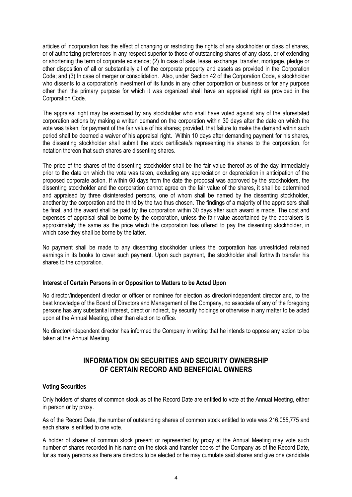articles of incorporation has the effect of changing or restricting the rights of any stockholder or class of shares, or of authorizing preferences in any respect superior to those of outstanding shares of any class, or of extending or shortening the term of corporate existence; (2) In case of sale, lease, exchange, transfer, mortgage, pledge or other disposition of all or substantially all of the corporate property and assets as provided in the Corporation Code; and (3) In case of merger or consolidation. Also, under Section 42 of the Corporation Code, a stockholder who dissents to a corporation's investment of its funds in any other corporation or business or for any purpose other than the primary purpose for which it was organized shall have an appraisal right as provided in the Corporation Code.

The appraisal right may be exercised by any stockholder who shall have voted against any of the aforestated corporation actions by making a written demand on the corporation within 30 days after the date on which the vote was taken, for payment of the fair value of his shares; provided, that failure to make the demand within such period shall be deemed a waiver of his appraisal right. Within 10 days after demanding payment for his shares, the dissenting stockholder shall submit the stock certificate/s representing his shares to the corporation, for notation thereon that such shares are dissenting shares.

The price of the shares of the dissenting stockholder shall be the fair value thereof as of the day immediately prior to the date on which the vote was taken, excluding any appreciation or depreciation in anticipation of the proposed corporate action. If within 60 days from the date the proposal was approved by the stockholders, the dissenting stockholder and the corporation cannot agree on the fair value of the shares, it shall be determined and appraised by three disinterested persons, one of whom shall be named by the dissenting stockholder, another by the corporation and the third by the two thus chosen. The findings of a majority of the appraisers shall be final, and the award shall be paid by the corporation within 30 days after such award is made. The cost and expenses of appraisal shall be borne by the corporation, unless the fair value ascertained by the appraisers is approximately the same as the price which the corporation has offered to pay the dissenting stockholder, in which case they shall be borne by the latter.

No payment shall be made to any dissenting stockholder unless the corporation has unrestricted retained earnings in its books to cover such payment. Upon such payment, the stockholder shall forthwith transfer his shares to the corporation.

#### **Interest of Certain Persons in or Opposition to Matters to be Acted Upon**

No director/independent director or officer or nominee for election as director/independent director and, to the best knowledge of the Board of Directors and Management of the Company, no associate of any of the foregoing persons has any substantial interest, direct or indirect, by security holdings or otherwise in any matter to be acted upon at the Annual Meeting, other than election to office.

No director/independent director has informed the Company in writing that he intends to oppose any action to be taken at the Annual Meeting.

### **INFORMATION ON SECURITIES AND SECURITY OWNERSHIP OF CERTAIN RECORD AND BENEFICIAL OWNERS**

#### **Voting Securities**

Only holders of shares of common stock as of the Record Date are entitled to vote at the Annual Meeting, either in person or by proxy.

As of the Record Date, the number of outstanding shares of common stock entitled to vote was 216,055,775 and each share is entitled to one vote.

A holder of shares of common stock present or represented by proxy at the Annual Meeting may vote such number of shares recorded in his name on the stock and transfer books of the Company as of the Record Date, for as many persons as there are directors to be elected or he may cumulate said shares and give one candidate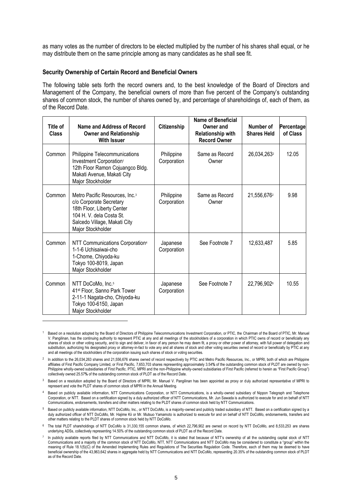as many votes as the number of directors to be elected multiplied by the number of his shares shall equal, or he may distribute them on the same principle among as many candidates as he shall see fit.

#### **Security Ownership of Certain Record and Beneficial Owners**

1

The following table sets forth the record owners and, to the best knowledge of the Board of Directors and Management of the Company, the beneficial owners of more than five percent of the Company's outstanding shares of common stock, the number of shares owned by, and percentage of shareholdings of, each of them, as of the Record Date.

| Title of<br><b>Class</b> | Name and Address of Record<br><b>Owner and Relationship</b><br><b>With Issuer</b>                                                                                                    | Citizenship               | <b>Name of Beneficial</b><br>Owner and<br><b>Relationship with</b><br><b>Record Owner</b> | Number of<br><b>Shares Held</b> | Percentage<br>of Class |
|--------------------------|--------------------------------------------------------------------------------------------------------------------------------------------------------------------------------------|---------------------------|-------------------------------------------------------------------------------------------|---------------------------------|------------------------|
| Common                   | Philippine Telecommunications<br>Investment Corporation <sup>1</sup><br>12th Floor Ramon Cojuangco Bldg.<br>Makati Avenue, Makati City<br>Major Stockholder                          | Philippine<br>Corporation | Same as Record<br>Owner                                                                   | 26,034,263 <sup>2</sup>         | 12.05                  |
| Common                   | Metro Pacific Resources, Inc. <sup>3</sup><br>c/o Corporate Secretary<br>18th Floor, Liberty Center<br>104 H. V. dela Costa St.<br>Salcedo Village, Makati City<br>Major Stockholder | Philippine<br>Corporation | Same as Record<br>Owner                                                                   | 21,556,6762                     | 9.98                   |
| Common                   | NTT Communications Corporation <sup>4</sup><br>1-1-6 Uchisaiwai-cho<br>1-Chome, Chiyoda-ku<br>Tokyo 100-8019, Japan<br>Major Stockholder                                             | Japanese<br>Corporation   | See Footnote 7                                                                            | 12,633,487                      | 5.85                   |
| Common                   | NTT DoCoMo, Inc. <sup>5</sup><br>41 <sup>st</sup> Floor, Sanno Park Tower<br>2-11-1 Nagata-cho, Chiyoda-ku<br>Tokyo 100-6150, Japan<br>Major Stockholder                             | Japanese<br>Corporation   | See Footnote 7                                                                            | 22,796,9026                     | 10.55                  |

<sup>1</sup> Based on a resolution adopted by the Board of Directors of Philippine Telecommunications Investment Corporation, or PTIC, the Chairman of the Board of PTIC, Mr. Manuel V. Pangilinan, has the continuing authority to represent PTIC at any and all meetings of the stockholders of a corporation in which PTIC owns of record or beneficially any shares of stock or other voting security, and to sign and deliver, in favor of any person he may deem fit, a proxy or other power of attorney, with full power of delegation and substitution, authorizing his designated proxy or attorney-in-fact to vote any and all shares of stock and other voting securities owned of record or beneficially by PTIC at any and all meetings of the stockholders of the corporation issuing such shares of stock or voting securities.

 $^2$  In addition to the 26,034,263 shares and 21,556,676 shares owned of record respectively by PTIC and Metro Pacific Resources, Inc., or MPRI, both of which are Philippine affiliates of First Pacific Company Limited, or First Pacific, 7,653,703 shares representing approximately 3.54**%** of the outstanding common stock of PLDT are owned by non-Philippine wholly-owned subsidiaries of First Pacific. PTIC, MPRI and the non-Philippine wholly-owned subsidiaries of First Pacific (referred to herein as "First Pacific Group") collectively owned 25.57**%** of the outstanding common stock of PLDT as of the Record Date.

<sup>&</sup>lt;sup>3</sup> Based on a resolution adopted by the Board of Directors of MPRI, Mr. Manuel V. Pangilinan has been appointed as proxy or duly authorized representative of MPRI to represent and vote the PLDT shares of common stock of MPRI in the Annual Meeting.

<sup>4</sup> Based on publicly available information, NTT Communications Corporation, or NTT Communications, is a wholly-owned subsidiary of Nippon Telegraph and Telephone Corporation, or NTT. Based on a certification signed by a duly authorized officer of NTT Communications, Mr. Jun Sawada is authorized to execute for and on behalf of NTT Communications, endorsements, transfers and other matters relating to the PLDT shares of common stock held by NTT Communications.

<sup>5</sup> Based on publicly available information, NTT DoCoMo, Inc., or NTT DoCoMo, is a majority-owned and publicly traded subsidiary of NTT. Based on a certification signed by a duly authorized officer of NTT DoCoMo, Mr. Hajime Kii or Mr. Mutsuo Yamamoto is authorized to execute for and on behalf of NTT DoCoMo, endorsements, transfers and other matters relating to the PLDT shares of common stock held by NTT DoCoMo.

<sup>6</sup> The total PLDT shareholdings of NTT DoCoMo is 31,330,155 common shares, of which 22,796,902 are owned on record by NTT DoCoMo, and 8,533,253 are shares underlying ADSs, collectively representing 14.50% of the outstanding common stock of PLDT as of the Record Date.

<sup>7</sup> In publicly available reports filed by NTT Communications and NTT DoCoMo, it is stated that because of NTT's ownership of all the outstanding capital stock of NTT Communications and a majority of the common stock of NTT DoCoMo, NTT, NTT Communications and NTT DoCoMo may be considered to constitute a "group" within the meaning of Rule 18.1(5)(C) of the Amended Implementing Rules and Regulations of The Securities Regulation Code. Therefore, each of them may be deemed to have beneficial ownership of the 43,963,642 shares in aggregate held by NTT Communications and NTT DoCoMo, representing 20.35% of the outstanding common stock of PLDT as of the Record Date.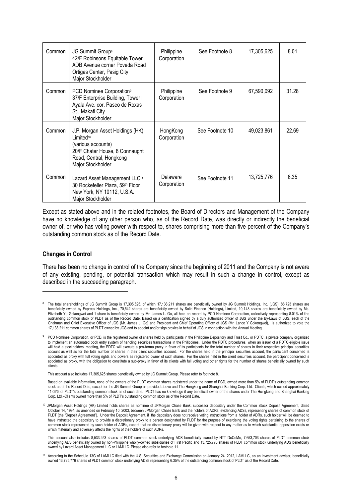| Common | JG Summit Group <sup>8</sup><br>42/F Robinsons Equitable Tower<br>ADB Avenue corner Poveda Road<br>Ortigas Center, Pasig City<br>Major Stockholder               | Philippine<br>Corporation | See Footnote 8  | 17,305,625 | 8.01  |
|--------|------------------------------------------------------------------------------------------------------------------------------------------------------------------|---------------------------|-----------------|------------|-------|
| Common | PCD Nominee Corporation <sup>9</sup><br>37/F Enterprise Building, Tower I<br>Ayala Ave. cor. Paseo de Roxas<br>St., Makati City<br>Major Stockholder             | Philippine<br>Corporation | See Footnote 9  | 67,590,092 | 31.28 |
| Common | J.P. Morgan Asset Holdings (HK)<br>Limited <sup>10</sup><br>(various accounts)<br>20/F Chater House, 8 Connaught<br>Road, Central, Hongkong<br>Major Stockholder | HongKong<br>Corporation   | See Footnote 10 | 49,023,861 | 22.69 |
| Common | Lazard Asset Management LLC <sup>11</sup><br>30 Rockefeller Plaza, 59th Floor<br>New York, NY 10112, U.S.A.<br>Major Stockholder                                 | Delaware<br>Corporation   | See Footnote 11 | 13,725,776 | 6.35  |

Except as stated above and in the related footnotes, the Board of Directors and Management of the Company have no knowledge of any other person who, as of the Record Date, was directly or indirectly the beneficial owner of, or who has voting power with respect to, shares comprising more than five percent of the Company's outstanding common stock as of the Record Date.

#### **Changes in Control**

1

There has been no change in control of the Company since the beginning of 2011 and the Company is not aware of any existing, pending, or potential transaction which may result in such a change in control, except as described in the succeeding paragraph.

This account also includes 17,305,625 shares beneficially owned by JG Summit Group. Please refer to footnote 8.

Based on available information, none of the owners of the PLDT common shares registered under the name of PCD, owned more than 5% of PLDT's outstanding common stock as of the Record Date, except for the JG Summit Group as provided above and The Hongkong and Shanghai Banking Corp. Ltd.–Clients, which owned approximately 11.09% of PLDT's outstanding common stock as of such date. PLDT has no knowledge if any beneficial owner of the shares under The Hongkong and Shanghai Banking Corp. Ltd.–Clients owned more than 5% of PLDT's outstanding common stock as of the Record Date.

<sup>&</sup>lt;sup>8</sup> The total shareholdings of JG Summit Group is 17,305,625, of which 17,138,211 shares are beneficially owned by JG Summit Holdings, Inc. (JGS), 86,723 shares are beneficially owned by Express Holdings, Inc., 70,542 shares are beneficially owned by Solid Finance (Holdings), Limited, 10,148 shares are beneficially owned by Ms. Elizabeth Yu Gokongwei and 1 share is beneficially owned by Mr. James L. Go, all held on record by PCD Nominee Corporation, collectively representing 8.01% of the outstanding common stock of PLDT as of the Record Date. Based on a certification signed by a duly authorized officer of JGS under the By-Laws of JGS, each of the Chairman and Chief Executive Officer of JGS (Mr. James L. Go) and President and Chief Operating Officer of JGS (Mr. Lance Y Gokongwei), is authorized to vote the 17,138,211 common shares of PLDT owned by JGS and to appoint and/or sign proxies in behalf of JGS in connection with the Annual Meeting.

<sup>9</sup> PCD Nominee Corporation, or PCD, is the registered owner of shares held by participants in the Philippine Depository and Trust Co., or PDTC, a private company organized to implement an automated book entry system of handling securities transactions in the Philippines. Under the PDTC procedures, when an issuer of a PDTC-eligible issue will hold a stockholders' meeting, the PDTC will execute a pro-forma proxy in favor of its participants for the total number of shares in their respective principal securities account as well as for the total number of shares in their client securities account. For the shares held in the principal securities account, the participant concerned is appointed as proxy with full voting rights and powers as registered owner of such shares. For the shares held in the client securities account, the participant concerned is appointed as proxy, with the obligation to constitute a sub-proxy in favor of its clients with full voting and other rights for the number of shares beneficially owned by such clients.

<sup>&</sup>lt;sup>10</sup> JPMorgan Asset Holdings (HK) Limited holds shares as nominee of JPMorgan Chase Bank, successor depositary under the Common Stock Deposit Agreement, dated October 14, 1994, as amended on February 10, 2003, between JPMorgan Chase Bank and the holders of ADRs, evidencing ADSs, representing shares of common stock of PLDT (the "Deposit Agreement"). Under the Deposit Agreement, if the depositary does not receive voting instructions from a holder of ADRs, such holder will be deemed to have instructed the depositary to provide a discretionary proxy to a person designated by PLDT for the purpose of exercising the voting rights pertaining to the shares of common stock represented by such holder of ADRs, except that no discretionary proxy will be given with respect to any matter as to which substantial opposition exists or which materially and adversely affects the rights of the holders of such ADRs.

This account also includes 8,533,253 shares of PLDT common stock underlying ADS beneficially owned by NTT DoCoMo, 7,653,703 shares of PLDT common stock underlying ADS beneficially owned by non-Philippine wholly-owned subsidiaries of First Pacific and 13,725,776 shares of PLDT common stock underlying ADS beneficially owned by Lazard Asset Management LLC or LAMLLC. Please also refer to footnote 11.

<sup>11</sup> According to the Schedule 13G of LAMLLC filed with the U.S. Securities and Exchange Commission on January 24, 2012, LAMLLC, as an investment adviser, beneficially owned 13,725,776 shares of PLDT common stock underlying ADSs representing 6.35% of the outstanding common stock of PLDT as of the Record Date.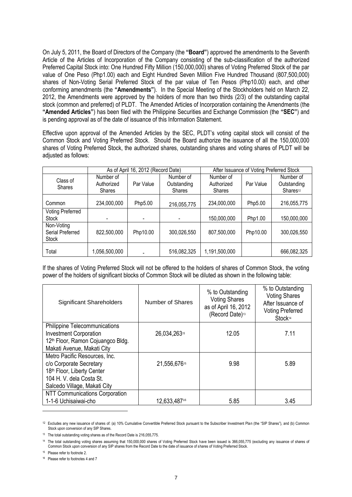On July 5, 2011, the Board of Directors of the Company (the **"Board"**) approved the amendments to the Seventh Article of the Articles of Incorporation of the Company consisting of the sub-classification of the authorized Preferred Capital Stock into: One Hundred Fifty Million (150,000,000) shares of Voting Preferred Stock of the par value of One Peso (Php1.00) each and Eight Hundred Seven Million Five Hundred Thousand (807,500,000) shares of Non-Voting Serial Preferred Stock of the par value of Ten Pesos (Php10.00) each, and other conforming amendments (the **"Amendments"**). In the Special Meeting of the Stockholders held on March 22, 2012, the Amendments were approved by the holders of more than two thirds (2/3) of the outstanding capital stock (common and preferred) of PLDT. The Amended Articles of Incorporation containing the Amendments (the **"Amended Articles"**) has been filed with the Philippine Securities and Exchange Commission (the **"SEC"**) and is pending approval as of the date of issuance of this Information Statement.

Effective upon approval of the Amended Articles by the SEC, PLDT's voting capital stock will consist of the Common Stock and Voting Preferred Stock. Should the Board authorize the issuance of all the 150,000,000 shares of Voting Preferred Stock, the authorized shares, outstanding shares and voting shares of PLDT will be adjusted as follows:

|                                                |                                          | As of April 16, 2012 (Record Date) |                                           |                                          | After Issuance of Voting Preferred Stock |                                                  |
|------------------------------------------------|------------------------------------------|------------------------------------|-------------------------------------------|------------------------------------------|------------------------------------------|--------------------------------------------------|
| Class of<br><b>Shares</b>                      | Number of<br>Authorized<br><b>Shares</b> | Par Value                          | Number of<br>Outstanding<br><b>Shares</b> | Number of<br>Authorized<br><b>Shares</b> | Par Value                                | Number of<br>Outstanding<br>Shares <sup>12</sup> |
| Common                                         | 234,000,000                              | Php5.00                            | 216,055,775                               | 234,000,000                              | Php5.00                                  | 216,055,775                                      |
| <b>Voting Preferred</b><br><b>Stock</b>        |                                          |                                    |                                           | 150,000,000                              | Php1.00                                  | 150,000,000                                      |
| Non-Voting<br>Serial Preferred<br><b>Stock</b> | 822,500,000                              | Php10.00                           | 300,026,550                               | 807,500,000                              | Php10.00                                 | 300,026,550                                      |
| Total                                          | 1,056,500,000                            |                                    | 516,082,325                               | 1,191,500,000                            |                                          | 666,082,325                                      |

If the shares of Voting Preferred Stock will not be offered to the holders of shares of Common Stock, the voting power of the holders of significant blocks of Common Stock will be diluted as shown in the following table:

| Significant Shareholders                      | Number of Shares | % to Outstanding<br><b>Voting Shares</b><br>as of April 16, 2012<br>(Record Date) <sup>13</sup> | % to Outstanding<br><b>Voting Shares</b><br>After Issuance of<br><b>Voting Preferred</b><br>Stock <sup>14</sup> |
|-----------------------------------------------|------------------|-------------------------------------------------------------------------------------------------|-----------------------------------------------------------------------------------------------------------------|
| <b>Philippine Telecommunications</b>          |                  |                                                                                                 |                                                                                                                 |
| <b>Investment Corporation</b>                 | 26,034,26315     | 12.05                                                                                           | 7.11                                                                                                            |
| 12 <sup>th</sup> Floor, Ramon Cojuangco Bldg. |                  |                                                                                                 |                                                                                                                 |
| Makati Avenue, Makati City                    |                  |                                                                                                 |                                                                                                                 |
| Metro Pacific Resources, Inc.                 |                  |                                                                                                 |                                                                                                                 |
| c/o Corporate Secretary                       | 21,556,67615     | 9.98                                                                                            | 5.89                                                                                                            |
| 18th Floor, Liberty Center                    |                  |                                                                                                 |                                                                                                                 |
| 104 H. V. dela Costa St.                      |                  |                                                                                                 |                                                                                                                 |
| Salcedo Village, Makati City                  |                  |                                                                                                 |                                                                                                                 |
| NTT Communications Corporation                |                  |                                                                                                 |                                                                                                                 |
| 1-1-6 Uchisaiwai-cho                          | 12,633,48716     | 5.85                                                                                            | 3.45                                                                                                            |

<sup>12</sup> Excludes any new issuance of shares of: (a) 10% Cumulative Convertible Preferred Stock pursuant to the Subscriber Investment Plan (the "SIP Shares"), and (b) Common Stock upon conversion of any SIP Shares.

1

<sup>16</sup> Please refer to footnotes 4 and 7

<sup>&</sup>lt;sup>13</sup> The total outstanding voting shares as of the Record Date is 216,055,775.

<sup>&</sup>lt;sup>14</sup> The total outstanding voting shares assuming that 150,000,000 shares of Voting Preferred Stock have been issued is 366,055,775 (excluding any issuance of shares of Common Stock upon conversion of any SIP shares from the Record Date to the date of issuance of shares of Voting Preferred Stock.

<sup>15</sup> Please refer to footnote 2.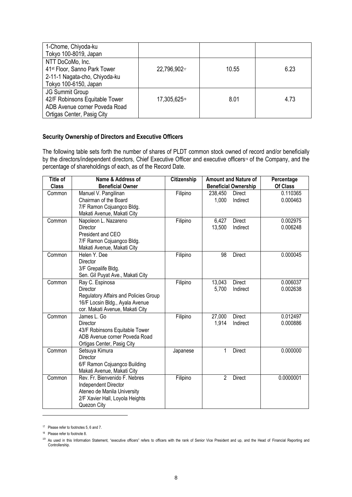| 1-Chome, Chiyoda-ku                      |                          |       |      |
|------------------------------------------|--------------------------|-------|------|
| Tokyo 100-8019, Japan                    |                          |       |      |
| NTT DoCoMo, Inc.                         |                          |       |      |
| 41 <sup>st</sup> Floor, Sanno Park Tower | 22,796,90217             | 10.55 | 6.23 |
| 2-11-1 Nagata-cho, Chiyoda-ku            |                          |       |      |
| Tokyo 100-6150, Japan                    |                          |       |      |
| <b>JG Summit Group</b>                   |                          |       |      |
| 42/F Robinsons Equitable Tower           | 17,305,625 <sup>18</sup> | 8.01  | 4.73 |
| ADB Avenue corner Poveda Road            |                          |       |      |
| Ortigas Center, Pasig City               |                          |       |      |

#### **Security Ownership of Directors and Executive Officers**

The following table sets forth the number of shares of PLDT common stock owned of record and/or beneficially by the directors/independent directors, Chief Executive Officer and executive officers<sup>19</sup> of the Company, and the percentage of shareholdings of each, as of the Record Date.

| Title of     | Name & Address of                     | Citizenship |                | <b>Amount and Nature of</b> | Percentage |
|--------------|---------------------------------------|-------------|----------------|-----------------------------|------------|
| <b>Class</b> | <b>Beneficial Owner</b>               |             |                | <b>Beneficial Ownership</b> | Of Class   |
| Common       | Manuel V. Pangilinan                  | Filipino    | 238,450        | Direct                      | 0.110365   |
|              | Chairman of the Board                 |             | 1,000          | Indirect                    | 0.000463   |
|              | 7/F Ramon Cojuangco Bldg.             |             |                |                             |            |
|              | Makati Avenue, Makati City            |             |                |                             |            |
| Common       | Napoleon L. Nazareno                  | Filipino    | 6,427          | <b>Direct</b>               | 0.002975   |
|              | <b>Director</b>                       |             | 13,500         | Indirect                    | 0.006248   |
|              | President and CEO                     |             |                |                             |            |
|              | 7/F Ramon Cojuangco Bldg.             |             |                |                             |            |
|              | Makati Avenue, Makati City            |             |                |                             |            |
| Common       | Helen Y. Dee                          | Filipino    | 98             | <b>Direct</b>               | 0.000045   |
|              | Director                              |             |                |                             |            |
|              | 3/F Grepalife Bldg.                   |             |                |                             |            |
|              | Sen. Gil Puyat Ave., Makati City      |             |                |                             |            |
| Common       | Ray C. Espinosa                       | Filipino    | 13,043         | Direct                      | 0.006037   |
|              | Director                              |             | 5,700          | Indirect                    | 0.002638   |
|              | Regulatory Affairs and Policies Group |             |                |                             |            |
|              | 16/F Locsin Bldg., Ayala Avenue       |             |                |                             |            |
|              | cor. Makati Avenue, Makati City       |             |                |                             |            |
| Common       | James L. Go                           | Filipino    | 27,000         | Direct                      | 0.012497   |
|              | Director                              |             | 1,914          | Indirect                    | 0.000886   |
|              | 43/F Robinsons Equitable Tower        |             |                |                             |            |
|              | ADB Avenue corner Poveda Road         |             |                |                             |            |
|              | Ortigas Center, Pasig City            |             |                |                             |            |
| Common       | Setsuya Kimura                        | Japanese    | 1              | <b>Direct</b>               | 0.000000   |
|              | Director                              |             |                |                             |            |
|              | 6/F Ramon Cojuangco Building          |             |                |                             |            |
|              | Makati Avenue, Makati City            |             |                |                             |            |
| Common       | Rev. Fr. Bienvenido F. Nebres         | Filipino    | $\overline{2}$ | Direct                      | 0.0000001  |
|              | Independent Director                  |             |                |                             |            |
|              | Ateneo de Manila University           |             |                |                             |            |
|              | 2/F Xavier Hall, Loyola Heights       |             |                |                             |            |
|              | Quezon City                           |             |                |                             |            |

<sup>17</sup> Please refer to footnotes 5, 6 and 7.

1

<sup>18</sup> Please refer to footnote 8.

<sup>&</sup>lt;sup>19</sup> As used in this Information Statement, "executive officers" refers to officers with the rank of Senior Vice President and up, and the Head of Financial Reporting and Controllership.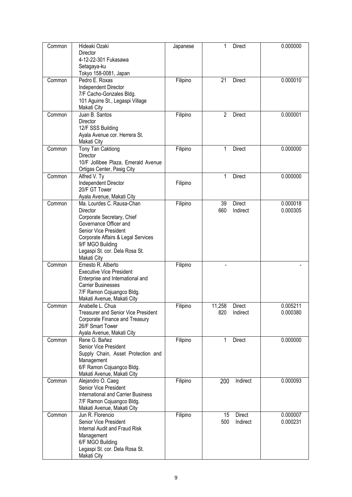| Common | Hideaki Ozaki                                                 | Japanese | 1<br><b>Direct</b>  | 0.000000 |
|--------|---------------------------------------------------------------|----------|---------------------|----------|
|        | Director                                                      |          |                     |          |
|        | 4-12-22-301 Fukasawa                                          |          |                     |          |
|        | Setagaya-ku<br>Tokyo 158-0081, Japan                          |          |                     |          |
| Common | Pedro E. Roxas                                                | Filipino | 21<br><b>Direct</b> | 0.000010 |
|        | Independent Director                                          |          |                     |          |
|        | 7/F Cacho-Gonzales Bldg.                                      |          |                     |          |
|        | 101 Aguirre St., Legaspi Village<br>Makati City               |          |                     |          |
| Common | Juan B. Santos                                                | Filipino | 2<br><b>Direct</b>  | 0.000001 |
|        | Director                                                      |          |                     |          |
|        | 12/F SSS Building                                             |          |                     |          |
|        | Ayala Avenue cor. Herrera St.<br>Makati City                  |          |                     |          |
| Common | Tony Tan Caktiong                                             | Filipino | 1<br><b>Direct</b>  | 0.000000 |
|        | Director                                                      |          |                     |          |
|        | 10/F Jollibee Plaza, Emerald Avenue                           |          |                     |          |
| Common | Ortigas Center, Pasig City<br>Alfred V. Ty                    |          | 1<br><b>Direct</b>  | 0.000000 |
|        | Independent Director                                          | Filipino |                     |          |
|        | 20/F GT Tower                                                 |          |                     |          |
|        | Ayala Avenue, Makati City                                     |          |                     |          |
| Common | Ma. Lourdes C. Rausa-Chan                                     | Filipino | <b>Direct</b><br>39 | 0.000018 |
|        | Director                                                      |          | 660<br>Indirect     | 0.000305 |
|        | Corporate Secretary, Chief                                    |          |                     |          |
|        | Governance Officer and<br>Senior Vice President               |          |                     |          |
|        | Corporate Affairs & Legal Services                            |          |                     |          |
|        | 9/F MGO Building                                              |          |                     |          |
|        | Legaspi St. cor. Dela Rosa St.                                |          |                     |          |
|        | Makati City                                                   |          |                     |          |
| Common | Ernesto R. Alberto                                            | Filipino |                     |          |
|        | <b>Executive Vice President</b>                               |          |                     |          |
|        | Enterprise and International and<br><b>Carrier Businesses</b> |          |                     |          |
|        | 7/F Ramon Cojuangco Bldg.                                     |          |                     |          |
|        | Makati Avenue, Makati City                                    |          |                     |          |
| Common | Anabelle L. Chua                                              | Filipino | 11,258<br>Direct    | 0.005211 |
|        | <b>Treasurer and Senior Vice President</b>                    |          | 820<br>Indirect     | 0.000380 |
|        | Corporate Finance and Treasury                                |          |                     |          |
|        | 26/F Smart Tower                                              |          |                     |          |
|        | Ayala Avenue, Makati City                                     |          |                     |          |
| Common | Rene G. Bañez<br>Senior Vice President                        | Filipino | 1<br><b>Direct</b>  | 0.000000 |
|        | Supply Chain, Asset Protection and                            |          |                     |          |
|        | Management                                                    |          |                     |          |
|        | 6/F Ramon Cojuangco Bldg.                                     |          |                     |          |
|        | Makati Avenue, Makati City                                    |          |                     |          |
| Common | Alejandro O. Caeg                                             | Filipino | Indirect<br>200     | 0.000093 |
|        | Senior Vice President                                         |          |                     |          |
|        | <b>International and Carrier Business</b>                     |          |                     |          |
|        | 7/F Ramon Cojuangco Bldg.<br>Makati Avenue, Makati City       |          |                     |          |
| Common | Jun R. Florencio                                              | Filipino | Direct<br>15        | 0.000007 |
|        | Senior Vice President                                         |          | 500<br>Indirect     | 0.000231 |
|        | <b>Internal Audit and Fraud Risk</b>                          |          |                     |          |
|        | Management                                                    |          |                     |          |
|        | 6/F MGO Building                                              |          |                     |          |
|        | Legaspi St. cor. Dela Rosa St.                                |          |                     |          |
|        | Makati City                                                   |          |                     |          |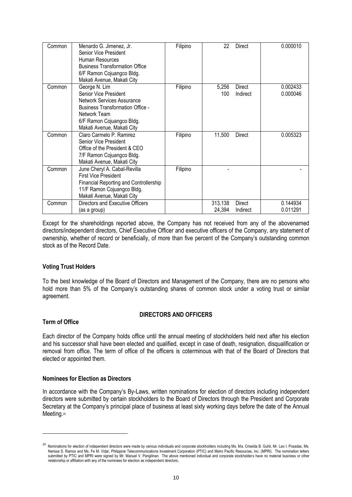| Common | Menardo G. Jimenez, Jr.<br>Senior Vice President<br>Human Resources<br><b>Business Transformation Office</b><br>6/F Ramon Cojuangco Bldg.<br>Makati Avenue, Makati City                           | Filipino | 22                | <b>Direct</b>             | 0.000010             |
|--------|---------------------------------------------------------------------------------------------------------------------------------------------------------------------------------------------------|----------|-------------------|---------------------------|----------------------|
| Common | George N. Lim<br>Senior Vice President<br><b>Network Services Assurance</b><br><b>Business Transformation Office -</b><br>Network Team<br>6/F Ramon Cojuangco Bldg.<br>Makati Avenue, Makati City | Filipino | 5,256<br>100      | Direct<br>Indirect        | 0.002433<br>0.000046 |
| Common | Claro Carmelo P. Ramirez<br>Senior Vice President<br>Office of the President & CEO<br>7/F Ramon Cojuangco Bldg.<br>Makati Avenue, Makati City                                                     | Filipino | 11,500            | Direct                    | 0.005323             |
| Common | June Cheryl A. Cabal-Revilla<br><b>First Vice President</b><br><b>Financial Reporting and Controllership</b><br>11/F Ramon Cojuangco Bldg.<br>Makati Avenue, Makati City                          | Filipino |                   |                           |                      |
| Common | Directors and Executive Officers<br>(as a group)                                                                                                                                                  |          | 313,138<br>24,394 | <b>Direct</b><br>Indirect | 0.144934<br>0.011291 |

Except for the shareholdings reported above, the Company has not received from any of the abovenamed directors/independent directors, Chief Executive Officer and executive officers of the Company, any statement of ownership, whether of record or beneficially, of more than five percent of the Company's outstanding common stock as of the Record Date.

#### **Voting Trust Holders**

To the best knowledge of the Board of Directors and Management of the Company, there are no persons who hold more than 5% of the Company's outstanding shares of common stock under a voting trust or similar agreement.

# **DIRECTORS AND OFFICERS**

#### **Term of Office**

-

Each director of the Company holds office until the annual meeting of stockholders held next after his election and his successor shall have been elected and qualified, except in case of death, resignation, disqualification or removal from office. The term of office of the officers is coterminous with that of the Board of Directors that elected or appointed them.

#### **Nominees for Election as Directors**

In accordance with the Company's By-Laws, written nominations for election of directors including independent directors were submitted by certain stockholders to the Board of Directors through the President and Corporate Secretary at the Company's principal place of business at least sixty working days before the date of the Annual Meeting.<sup>20</sup>

<sup>&</sup>lt;sup>20</sup> Nominations for election of independent directors were made by various individuals and corporate stockholders including Ms. Ma. Criselda B. Guhit, Mr. Leo I. Posadas, Ms. Nerissa S. Ramos and Ms. Fe M. Vidar, Philippine Telecommunications Investment Corporation (PTIC) and Metro Pacific Resources, Inc. (MPRI). The nomination letters submitted by PTIC and MPRI were signed by Mr. Manuel V. Pangilinan. The above mentioned individual and corporate stockholders have no material business or other relationship or affiliation with any of the nominees for election as independent directors**.**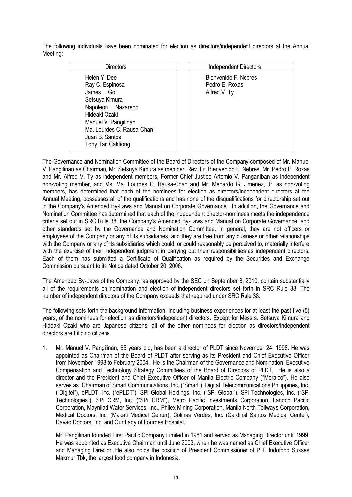The following individuals have been nominated for election as directors/independent directors at the Annual Meeting:

| <b>Directors</b>                                                                                                                                                                                             | <b>Independent Directors</b>                           |
|--------------------------------------------------------------------------------------------------------------------------------------------------------------------------------------------------------------|--------------------------------------------------------|
| Helen Y. Dee<br>Ray C. Espinosa<br>James L. Go<br>Setsuya Kimura<br>Napoleon L. Nazareno<br>Hideaki Ozaki<br>Manuel V. Pangilinan<br>Ma. Lourdes C. Rausa-Chan<br>Juan B. Santos<br><b>Tony Tan Caktiong</b> | Bienvenido F. Nebres<br>Pedro E. Roxas<br>Alfred V. Ty |

The Governance and Nomination Committee of the Board of Directors of the Company composed of Mr. Manuel V. Pangilinan as Chairman, Mr. Setsuya Kimura as member, Rev. Fr. Bienvenido F. Nebres, Mr. Pedro E. Roxas and Mr. Alfred V. Ty as independent members, Former Chief Justice Artemio V. Panganiban as independent non-voting member, and Ms. Ma. Lourdes C. Rausa-Chan and Mr. Menardo G. Jimenez, Jr. as non-voting members, has determined that each of the nominees for election as directors/independent directors at the Annual Meeting, possesses all of the qualifications and has none of the disqualifications for directorship set out in the Company's Amended By-Laws and Manual on Corporate Governance. In addition, the Governance and Nomination Committee has determined that each of the independent director-nominees meets the independence criteria set out in SRC Rule 38, the Company's Amended By-Laws and Manual on Corporate Governance, and other standards set by the Governance and Nomination Committee. In general, they are not officers or employees of the Company or any of its subsidiaries, and they are free from any business or other relationships with the Company or any of its subsidiaries which could, or could reasonably be perceived to, materially interfere with the exercise of their independent judgment in carrying out their responsibilities as independent directors. Each of them has submitted a Certificate of Qualification as required by the Securities and Exchange Commission pursuant to its Notice dated October 20, 2006.

The Amended By-Laws of the Company, as approved by the SEC on September 8, 2010, contain substantially all of the requirements on nomination and election of independent directors set forth in SRC Rule 38. The number of independent directors of the Company exceeds that required under SRC Rule 38.

The following sets forth the background information, including business experiences for at least the past five (5) years, of the nominees for election as directors/independent directors. Except for Messrs. Setsuya Kimura and Hideaki Ozaki who are Japanese citizens, all of the other nominees for election as directors/independent directors are Filipino citizens.

1. Mr. Manuel V. Pangilinan, 65 years old, has been a director of PLDT since November 24, 1998. He was appointed as Chairman of the Board of PLDT after serving as its President and Chief Executive Officer from November 1998 to February 2004. He is the Chairman of the Governance and Nomination, Executive Compensation and Technology Strategy Committees of the Board of Directors of PLDT. He is also a director and the President and Chief Executive Officer of Manila Electric Company ("Meralco"). He also serves as Chairman of Smart Communications, Inc. ("Smart"), Digital Telecommunications Philippines, Inc. ("Digitel"), ePLDT, Inc. ("ePLDT"), SPi Global Holdings, Inc. ("SPi Global"), SPi Technologies, Inc. ("SPi Technologies"), SPi CRM, Inc. ("SPi CRM"), Metro Pacific Investments Corporation, Landco Pacific Corporation, Maynilad Water Services, Inc., Philex Mining Corporation, Manila North Tollways Corporation, Medical Doctors, Inc. (Makati Medical Center), Colinas Verdes, Inc. (Cardinal Santos Medical Center), Davao Doctors, Inc. and Our Lady of Lourdes Hospital.

Mr. Pangilinan founded First Pacific Company Limited in 1981 and served as Managing Director until 1999. He was appointed as Executive Chairman until June 2003, when he was named as Chief Executive Officer and Managing Director. He also holds the position of President Commissioner of P.T. Indofood Sukses Makmur Tbk, the largest food company in Indonesia.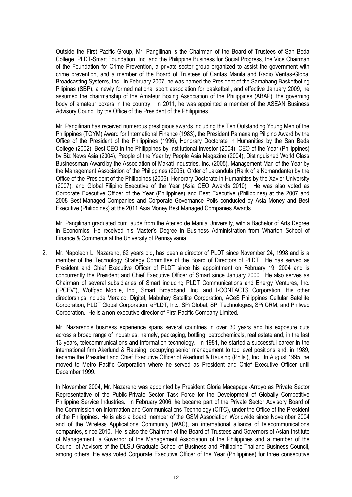Outside the First Pacific Group, Mr. Pangilinan is the Chairman of the Board of Trustees of San Beda College, PLDT-Smart Foundation, Inc. and the Philippine Business for Social Progress, the Vice Chairman of the Foundation for Crime Prevention, a private sector group organized to assist the government with crime prevention, and a member of the Board of Trustees of Caritas Manila and Radio Veritas-Global Broadcasting Systems, Inc. In February 2007, he was named the President of the Samahang Basketbol ng Pilipinas (SBP), a newly formed national sport association for basketball, and effective January 2009, he assumed the chairmanship of the Amateur Boxing Association of the Philippines (ABAP), the governing body of amateur boxers in the country. In 2011, he was appointed a member of the ASEAN Business Advisory Council by the Office of the President of the Philippines.

Mr. Pangilinan has received numerous prestigious awards including the Ten Outstanding Young Men of the Philippines (TOYM) Award for International Finance (1983), the President Pamana ng Pilipino Award by the Office of the President of the Philippines (1996), Honorary Doctorate in Humanities by the San Beda College (2002), Best CEO in the Philippines by Institutional Investor (2004), CEO of the Year (Philippines) by Biz News Asia (2004), People of the Year by People Asia Magazine (2004), Distinguished World Class Businessman Award by the Association of Makati Industries, Inc. (2005), Management Man of the Year by the Management Association of the Philippines (2005), Order of Lakandula (Rank of a Komandante) by the Office of the President of the Philippines (2006), Honorary Doctorate in Humanities by the Xavier University (2007), and Global Filipino Executive of the Year (Asia CEO Awards 2010). He was also voted as Corporate Executive Officer of the Year (Philippines) and Best Executive (Philippines) at the 2007 and 2008 Best-Managed Companies and Corporate Governance Polls conducted by Asia Money and Best Executive (Philippines) at the 2011 Asia Money Best Managed Companies Awards.

Mr. Pangilinan graduated cum laude from the Ateneo de Manila University, with a Bachelor of Arts Degree in Economics. He received his Master's Degree in Business Administration from Wharton School of Finance & Commerce at the University of Pennsylvania.

2. Mr. Napoleon L. Nazareno, 62 years old, has been a director of PLDT since November 24, 1998 and is a member of the Technology Strategy Committee of the Board of Directors of PLDT. He has served as President and Chief Executive Officer of PLDT since his appointment on February 19, 2004 and is concurrently the President and Chief Executive Officer of Smart since January 2000. He also serves as Chairman of several subsidiaries of Smart including PLDT Communications and Energy Ventures, Inc. ("PCEV"), Wolfpac Mobile, Inc., Smart Broadband, Inc. and I-CONTACTS Corporation. His other directorships include Meralco, Digitel, Mabuhay Satellite Corporation, ACeS Philippines Cellular Satellite Corporation, PLDT Global Corporation, ePLDT, Inc., SPi Global, SPi Technologies, SPi CRM, and Philweb Corporation. He is a non-executive director of First Pacific Company Limited.

Mr. Nazareno's business experience spans several countries in over 30 years and his exposure cuts across a broad range of industries, namely, packaging, bottling, petrochemicals, real estate and, in the last 13 years, telecommunications and information technology. In 1981, he started a successful career in the international firm Akerlund & Rausing, occupying senior management to top level positions and, in 1989, became the President and Chief Executive Officer of Akerlund & Rausing (Phils.), Inc. In August 1995, he moved to Metro Pacific Corporation where he served as President and Chief Executive Officer until December 1999.

In November 2004, Mr. Nazareno was appointed by President Gloria Macapagal-Arroyo as Private Sector Representative of the Public-Private Sector Task Force for the Development of Globally Competitive Philippine Service Industries. In February 2006, he became part of the Private Sector Advisory Board of the Commission on Information and Communications Technology (CITC), under the Office of the President of the Philippines. He is also a board member of the GSM Association Worldwide since November 2004 and of the Wireless Applications Community (WAC), an international alliance of telecommunications companies, since 2010. He is also the Chairman of the Board of Trustees and Governors of Asian Institute of Management, a Governor of the Management Association of the Philippines and a member of the Council of Advisors of the DLSU-Graduate School of Business and Philippine-Thailand Business Council, among others. He was voted Corporate Executive Officer of the Year (Philippines) for three consecutive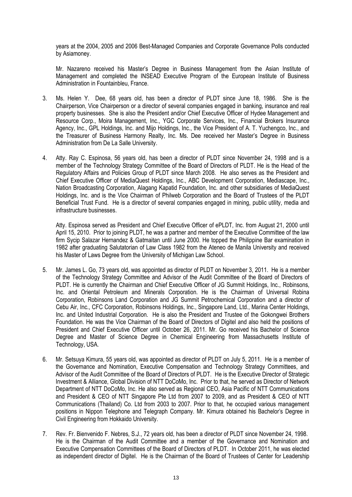years at the 2004, 2005 and 2006 Best-Managed Companies and Corporate Governance Polls conducted by Asiamoney.

Mr. Nazareno received his Master's Degree in Business Management from the Asian Institute of Management and completed the INSEAD Executive Program of the European Institute of Business Administration in Fountainbleu, France.

- 3. Ms. Helen Y. Dee, 68 years old, has been a director of PLDT since June 18, 1986. She is the Chairperson, Vice Chairperson or a director of several companies engaged in banking, insurance and real property businesses. She is also the President and/or Chief Executive Officer of Hydee Management and Resource Corp., Moira Management, Inc., YGC Corporate Services, Inc., Financial Brokers Insurance Agency, Inc., GPL Holdings, Inc. and Mijo Holdings, Inc., the Vice President of A. T. Yuchengco, Inc., and the Treasurer of Business Harmony Realty, Inc. Ms. Dee received her Master's Degree in Business Administration from De La Salle University.
- 4. Atty. Ray C. Espinosa, 56 years old, has been a director of PLDT since November 24, 1998 and is a member of the Technology Strategy Committee of the Board of Directors of PLDT. He is the Head of the Regulatory Affairs and Policies Group of PLDT since March 2008. He also serves as the President and Chief Executive Officer of MediaQuest Holdings, Inc., ABC Development Corporation, Mediascape, Inc., Nation Broadcasting Corporation, Alagang Kapatid Foundation, Inc. and other subsidiaries of MediaQuest Holdings, Inc. and is the Vice Chairman of Philweb Corporation and the Board of Trustees of the PLDT Beneficial Trust Fund. He is a director of several companies engaged in mining, public utility, media and infrastructure businesses.

Atty. Espinosa served as President and Chief Executive Officer of ePLDT, Inc. from August 21, 2000 until April 15, 2010. Prior to joining PLDT, he was a partner and member of the Executive Committee of the law firm Sycip Salazar Hernandez & Gatmaitan until June 2000. He topped the Philippine Bar examination in 1982 after graduating Salutatorian of Law Class 1982 from the Ateneo de Manila University and received his Master of Laws Degree from the University of Michigan Law School.

- 5. Mr. James L. Go, 73 years old, was appointed as director of PLDT on November 3, 2011. He is a member of the Technology Strategy Committee and Advisor of the Audit Committee of the Board of Directors of PLDT. He is currently the Chairman and Chief Executive Officer of JG Summit Holdings, Inc., Robinsons, Inc. and Oriental Petroleum and Minerals Corporation. He is the Chairman of Universal Robina Corporation, Robinsons Land Corporation and JG Summit Petrochemical Corporation and a director of Cebu Air, Inc., CFC Corporation, Robinsons Holdings, Inc., Singapore Land, Ltd., Marina Center Holdings, Inc. and United Industrial Corporation. He is also the President and Trustee of the Gokongwei Brothers Foundation. He was the Vice Chairman of the Board of Directors of Digitel and also held the positions of President and Chief Executive Officer until October 26, 2011. Mr. Go received his Bachelor of Science Degree and Master of Science Degree in Chemical Engineering from Massachusetts Institute of Technology, USA.
- 6. Mr. Setsuya Kimura, 55 years old, was appointed as director of PLDT on July 5, 2011. He is a member of the Governance and Nomination, Executive Compensation and Technology Strategy Committees, and Advisor of the Audit Committee of the Board of Directors of PLDT. He is the Executive Director of Strategic Investment & Alliance, Global Division of NTT DoCoMo, Inc. Prior to that, he served as Director of Network Department of NTT DoCoMo, Inc. He also served as Regional CEO, Asia Pacific of NTT Communications and President & CEO of NTT Singapore Pte Ltd from 2007 to 2009, and as President & CEO of NTT Communications (Thailand) Co. Ltd from 2003 to 2007. Prior to that, he occupied various management positions in Nippon Telephone and Telegraph Company. Mr. Kimura obtained his Bachelor's Degree in Civil Engineering from Hokkaido University.
- 7. Rev. Fr. Bienvenido F. Nebres, S.J., 72 years old, has been a director of PLDT since November 24, 1998. He is the Chairman of the Audit Committee and a member of the Governance and Nomination and Executive Compensation Committees of the Board of Directors of PLDT. In October 2011, he was elected as independent director of Digitel. He is the Chairman of the Board of Trustees of Center for Leadership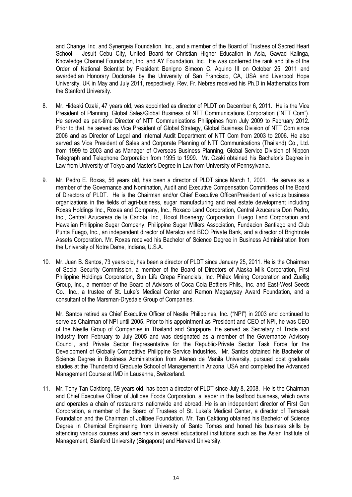and Change, Inc. and Synergeia Foundation, Inc., and a member of the Board of Trustees of Sacred Heart School – Jesuit Cebu City, United Board for Christian Higher Education in Asia, Gawad Kalinga, Knowledge Channel Foundation, Inc. and AY Foundation, Inc. He was conferred the rank and title of the Order of National Scientist by President Benigno Simeon C. Aquino III on October 25, 2011 and awarded an Honorary Doctorate by the University of San Francisco, CA, USA and Liverpool Hope University, UK in May and July 2011, respectively. Rev. Fr. Nebres received his Ph.D in Mathematics from the Stanford University.

- 8. Mr. Hideaki Ozaki, 47 years old, was appointed as director of PLDT on December 6, 2011. He is the Vice President of Planning, Global Sales/Global Business of NTT Communications Corporation ("NTT Com"). He served as part-time Director of NTT Communications Philippines from July 2009 to February 2012. Prior to that, he served as Vice President of Global Strategy, Global Business Division of NTT Com since 2006 and as Director of Legal and Internal Audit Department of NTT Com from 2003 to 2006. He also served as Vice President of Sales and Corporate Planning of NTT Communications (Thailand) Co., Ltd. from 1999 to 2003 and as Manager of Overseas Business Planning, Global Service Division of Nippon Telegraph and Telephone Corporation from 1995 to 1999. Mr. Ozaki obtained his Bachelor's Degree in Law from University of Tokyo and Master's Degree in Law from University of Pennsylvania.
- 9. Mr. Pedro E. Roxas, 56 years old, has been a director of PLDT since March 1, 2001. He serves as a member of the Governance and Nomination, Audit and Executive Compensation Committees of the Board of Directors of PLDT. He is the Chairman and/or Chief Executive Officer/President of various business organizations in the fields of agri-business, sugar manufacturing and real estate development including Roxas Holdings Inc., Roxas and Company, Inc., Roxaco Land Corporation, Central Azucarera Don Pedro, Inc., Central Azucarera de la Carlota, Inc., Roxol Bioenergy Corporation, Fuego Land Corporation and Hawaiian Philippine Sugar Company, Philippine Sugar Millers Association, Fundacion Santiago and Club Punta Fuego, Inc., an independent director of Meralco and BDO Private Bank, and a director of Brightnote Assets Corporation. Mr. Roxas received his Bachelor of Science Degree in Business Administration from the University of Notre Dame, Indiana, U.S.A.
- 10. Mr. Juan B. Santos, 73 years old, has been a director of PLDT since January 25, 2011. He is the Chairman of Social Security Commission, a member of the Board of Directors of Alaska Milk Corporation, First Philippine Holdings Corporation, Sun Life Grepa Financials, Inc. Philex Mining Corporation and Zuellig Group, Inc., a member of the Board of Advisors of Coca Cola Bottlers Phils., Inc. and East-West Seeds Co., Inc., a trustee of St. Luke's Medical Center and Ramon Magsaysay Award Foundation, and a consultant of the Marsman-Drysdale Group of Companies.

Mr. Santos retired as Chief Executive Officer of Nestle Philippines, Inc. ("NPI") in 2003 and continued to serve as Chairman of NPI until 2005. Prior to his appointment as President and CEO of NPI, he was CEO of the Nestle Group of Companies in Thailand and Singapore. He served as Secretary of Trade and Industry from February to July 2005 and was designated as a member of the Governance Advisory Council, and Private Sector Representative for the Republic-Private Sector Task Force for the Development of Globally Competitive Philippine Service Industries. Mr. Santos obtained his Bachelor of Science Degree in Business Administration from Ateneo de Manila University, pursued post graduate studies at the Thunderbird Graduate School of Management in Arizona, USA and completed the Advanced Management Course at IMD in Lausanne, Switzerland.

11. Mr. Tony Tan Caktiong, 59 years old, has been a director of PLDT since July 8, 2008. He is the Chairman and Chief Executive Officer of Jollibee Foods Corporation, a leader in the fastfood business, which owns and operates a chain of restaurants nationwide and abroad. He is an independent director of First Gen Corporation, a member of the Board of Trustees of St. Luke's Medical Center, a director of Temasek Foundation and the Chairman of Jollibee Foundation. Mr. Tan Caktiong obtained his Bachelor of Science Degree in Chemical Engineering from University of Santo Tomas and honed his business skills by attending various courses and seminars in several educational institutions such as the Asian Institute of Management, Stanford University (Singapore) and Harvard University.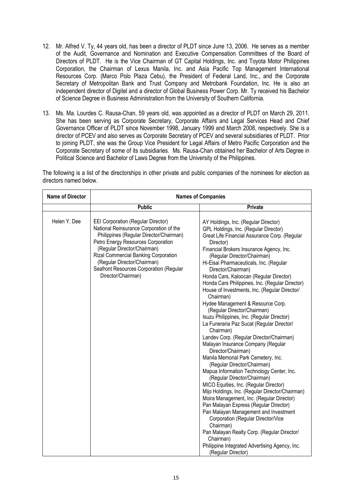- 12. Mr. Alfred V. Ty, 44 years old, has been a director of PLDT since June 13, 2006. He serves as a member of the Audit, Governance and Nomination and Executive Compensation Committees of the Board of Directors of PLDT. He is the Vice Chairman of GT Capital Holdings, Inc. and Toyota Motor Philippines Corporation, the Chairman of Lexus Manila, Inc. and Asia Pacific Top Management International Resources Corp. (Marco Polo Plaza Cebu), the President of Federal Land, Inc., and the Corporate Secretary of Metropolitan Bank and Trust Company and Metrobank Foundation, Inc. He is also an independent director of Digitel and a director of Global Business Power Corp. Mr. Ty received his Bachelor of Science Degree in Business Administration from the University of Southern California.
- 13. Ms. Ma. Lourdes C. Rausa-Chan, 59 years old, was appointed as a director of PLDT on March 29, 2011. She has been serving as Corporate Secretary, Corporate Affairs and Legal Services Head and Chief Governance Officer of PLDT since November 1998, January 1999 and March 2008, respectively. She is a director of PCEV and also serves as Corporate Secretary of PCEV and several subsidiaries of PLDT. Prior to joining PLDT, she was the Group Vice President for Legal Affairs of Metro Pacific Corporation and the Corporate Secretary of some of its subsidiaries. Ms. Rausa-Chan obtained her Bachelor of Arts Degree in Political Science and Bachelor of Laws Degree from the University of the Philippines.

The following is a list of the directorships in other private and public companies of the nominees for election as directors named below.

| <b>Name of Director</b> | <b>Names of Companies</b>                                                                                                                                                                                                                                                                                                                    |                                                                                                                                                                                                                                                                                                                                                                                                                                                                                                                                                                                                                                                                                                                                                                                                                                                                                                                                                                                                                                                                                                                                                                                                                                                                                                               |  |
|-------------------------|----------------------------------------------------------------------------------------------------------------------------------------------------------------------------------------------------------------------------------------------------------------------------------------------------------------------------------------------|---------------------------------------------------------------------------------------------------------------------------------------------------------------------------------------------------------------------------------------------------------------------------------------------------------------------------------------------------------------------------------------------------------------------------------------------------------------------------------------------------------------------------------------------------------------------------------------------------------------------------------------------------------------------------------------------------------------------------------------------------------------------------------------------------------------------------------------------------------------------------------------------------------------------------------------------------------------------------------------------------------------------------------------------------------------------------------------------------------------------------------------------------------------------------------------------------------------------------------------------------------------------------------------------------------------|--|
|                         | <b>Public</b>                                                                                                                                                                                                                                                                                                                                | <b>Private</b>                                                                                                                                                                                                                                                                                                                                                                                                                                                                                                                                                                                                                                                                                                                                                                                                                                                                                                                                                                                                                                                                                                                                                                                                                                                                                                |  |
| Helen Y. Dee            | <b>EEI Corporation (Regular Director)</b><br>National Reinsurance Corporation of the<br>Philippines (Regular Director/Chairman)<br>Petro Energy Resources Corporation<br>(Regular Director/Chairman)<br>Rizal Commercial Banking Corporation<br>(Regular Director/Chairman)<br>Seafront Resources Corporation (Regular<br>Director/Chairman) | AY Holdings, Inc. (Regular Director)<br>GPL Holdings, Inc. (Regular Director)<br>Great Life Financial Assurance Corp. (Regular<br>Director)<br>Financial Brokers Insurance Agency, Inc.<br>(Regular Director/Chairman)<br>Hi-Eisai Pharmaceuticals, Inc. (Regular<br>Director/Chairman)<br>Honda Cars, Kaloocan (Regular Director)<br>Honda Cars Philippines, Inc. (Regular Director)<br>House of Investments, Inc. (Regular Director/<br>Chairman)<br>Hydee Management & Resource Corp.<br>(Regular Director/Chairman)<br>Isuzu Philippines, Inc. (Regular Director)<br>La Funeraria Paz Sucat (Regular Director/<br>Chairman)<br>Landev Corp. (Regular Director/Chairman)<br>Malayan Insurance Company (Regular<br>Director/Chairman)<br>Manila Memorial Park Cemetery, Inc.<br>(Regular Director/Chairman)<br>Mapua Information Technology Center, Inc.<br>(Regular Director/Chairman)<br>MICO Equities, Inc. (Regular Director)<br>Mijo Holdings, Inc. (Regular Director/Chairman)<br>Moira Management, Inc. (Regular Director)<br>Pan Malayan Express (Regular Director)<br>Pan Malayan Management and Investment<br>Corporation (Regular Director/Vice<br>Chairman)<br>Pan Malayan Realty Corp. (Regular Director/<br>Chairman)<br>Philippine Integrated Advertising Agency, Inc.<br>(Regular Director) |  |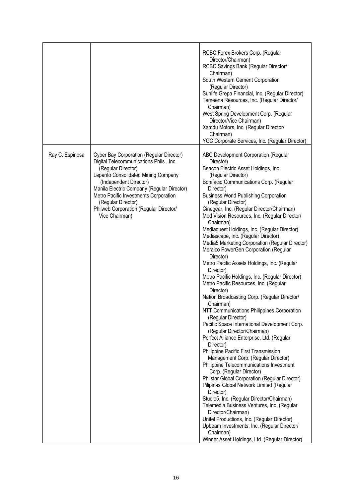|                 |                                                                                                                                                                                                                                                                                                                                                            | RCBC Forex Brokers Corp. (Regular<br>Director/Chairman)<br>RCBC Savings Bank (Regular Director/<br>Chairman)<br>South Western Cement Corporation<br>(Regular Director)<br>Sunlife Grepa Financial, Inc. (Regular Director)<br>Tameena Resources, Inc. (Regular Director/<br>Chairman)<br>West Spring Development Corp. (Regular<br>Director/Vice Chairman)<br>Xamdu Motors, Inc. (Regular Director/<br>Chairman)<br>YGC Corporate Services, Inc. (Regular Director)                                                                                                                                                                                                                                                                                                                                                                                                                                                                                                                                                                                                                                                                                                                                                                                                                                                                                                                                                                                                                                                                                            |
|-----------------|------------------------------------------------------------------------------------------------------------------------------------------------------------------------------------------------------------------------------------------------------------------------------------------------------------------------------------------------------------|----------------------------------------------------------------------------------------------------------------------------------------------------------------------------------------------------------------------------------------------------------------------------------------------------------------------------------------------------------------------------------------------------------------------------------------------------------------------------------------------------------------------------------------------------------------------------------------------------------------------------------------------------------------------------------------------------------------------------------------------------------------------------------------------------------------------------------------------------------------------------------------------------------------------------------------------------------------------------------------------------------------------------------------------------------------------------------------------------------------------------------------------------------------------------------------------------------------------------------------------------------------------------------------------------------------------------------------------------------------------------------------------------------------------------------------------------------------------------------------------------------------------------------------------------------------|
| Ray C. Espinosa | <b>Cyber Bay Corporation (Regular Director)</b><br>Digital Telecommunications Phils., Inc.<br>(Regular Director)<br>Lepanto Consolidated Mining Company<br>(Independent Director)<br>Manila Electric Company (Regular Director)<br>Metro Pacific Investments Corporation<br>(Regular Director)<br>Philweb Corporation (Regular Director/<br>Vice Chairman) | ABC Development Corporation (Regular<br>Director)<br>Beacon Electric Asset Holdings, Inc.<br>(Regular Director)<br>Bonifacio Communications Corp. (Regular<br>Director)<br><b>Business World Publishing Corporation</b><br>(Regular Director)<br>Cinegear, Inc. (Regular Director/Chairman)<br>Med Vision Resources, Inc. (Regular Director/<br>Chairman)<br>Mediaquest Holdings, Inc. (Regular Director)<br>Mediascape, Inc. (Regular Director)<br>Media5 Marketing Corporation (Regular Director)<br>Meralco PowerGen Corporation (Regular<br>Director)<br>Metro Pacific Assets Holdings, Inc. (Regular<br>Director)<br>Metro Pacific Holdings, Inc. (Regular Director)<br>Metro Pacific Resources, Inc. (Regular<br>Director)<br>Nation Broadcasting Corp. (Regular Director/<br>Chairman)<br>NTT Communications Philippines Corporation<br>(Regular Director)<br>Pacific Space International Development Corp.<br>(Regular Director/Chairman)<br>Perfect Alliance Enterprise, Ltd. (Regular<br>Director)<br>Philippine Pacific First Transmission<br>Management Corp. (Regular Director)<br>Philippine Telecommunications Investment<br>Corp. (Regular Director)<br>Philstar Global Corporation (Regular Director)<br>Pilipinas Global Network Limited (Regular<br>Director)<br>Studio5, Inc. (Regular Director/Chairman)<br>Telemedia Business Ventures, Inc. (Regular<br>Director/Chairman)<br>Unitel Productions, Inc. (Regular Director)<br>Upbeam Investments, Inc. (Regular Director/<br>Chairman)<br>Winner Asset Holdings, Ltd. (Regular Director) |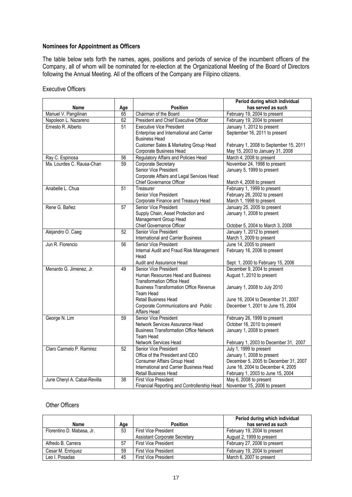#### **Nominees for Appointment as Officers**

The table below sets forth the names, ages, positions and periods of service of the incumbent officers of the Company, all of whom will be nominated for re-election at the Organizational Meeting of the Board of Directors following the Annual Meeting. All of the officers of the Company are Filipino citizens.

#### Executive Officers

|                              |                 |                                               | Period during which individual                              |
|------------------------------|-----------------|-----------------------------------------------|-------------------------------------------------------------|
| <b>Name</b>                  | Age             | <b>Position</b>                               | has served as such                                          |
| Manuel V. Pangilinan         | 65              | Chairman of the Board                         | February 19, 2004 to present                                |
| Napoleon L. Nazareno         | 62              | President and Chief Executive Officer         | February 19, 2004 to present                                |
| Ernesto R. Alberto           | $\overline{51}$ | <b>Executive Vice President</b>               | January 1, 2012 to present                                  |
|                              |                 | Enterprise and International and Carrier      | September 16, 2011 to present                               |
|                              |                 | <b>Business Head</b>                          |                                                             |
|                              |                 | Customer Sales & Marketing Group Head         | February 1, 2008 to September 15, 2011                      |
|                              |                 | Corporate Business Head                       | May 15, 2003 to January 31, 2008                            |
| Ray C. Espinosa              | 56              | Regulatory Affairs and Policies Head          | March 4, 2008 to present                                    |
| Ma. Lourdes C. Rausa-Chan    | 59              | Corporate Secretary                           | November 24, 1998 to present                                |
|                              |                 | Senior Vice President                         | January 5, 1999 to present                                  |
|                              |                 | Corporate Affairs and Legal Services Head     |                                                             |
|                              | $\overline{51}$ | Chief Governance Officer                      | March 4, 2008 to present                                    |
| Anabelle L. Chua             |                 | Treasurer<br>Senior Vice President            | February 1, 1999 to present<br>February 26, 2002 to present |
|                              |                 | Corporate Finance and Treasury Head           | March 1, 1998 to present                                    |
| Rene G. Bañez                | 57              | Senior Vice President                         | January 25, 2005 to present                                 |
|                              |                 | Supply Chain, Asset Protection and            | January 1, 2008 to present                                  |
|                              |                 | Management Group Head                         |                                                             |
|                              |                 | Chief Governance Officer                      | October 5, 2004 to March 3, 2008                            |
| Alejandro O. Caeg            | 52              | Senior Vice President                         | January 1, 2012 to present                                  |
|                              |                 | International and Carrier Business            | March 1, 2009 to present                                    |
| Jun R. Florencio             | 56              | Senior Vice President                         | June 14, 2005 to present                                    |
|                              |                 | Internal Audit and Fraud Risk Management      | February 16, 2006 to present                                |
|                              |                 | Head                                          |                                                             |
|                              |                 | Audit and Assurance Head                      | Sept. 1, 2000 to February 15, 2006                          |
| Menardo G. Jimenez, Jr.      | 49              | Senior Vice President                         | December 9, 2004 to present                                 |
|                              |                 | Human Resources Head and Business             | August 1, 2010 to present                                   |
|                              |                 | <b>Transformation Office Head</b>             |                                                             |
|                              |                 | <b>Business Transformation Office Revenue</b> | January 1, 2008 to July 2010                                |
|                              |                 | Team Head<br><b>Retail Business Head</b>      | June 16, 2004 to December 31, 2007                          |
|                              |                 | Corporate Communications and Public           | December 1, 2001 to June 15, 2004                           |
|                              |                 | Affairs Head                                  |                                                             |
| George N. Lim                | 59              | Senior Vice President                         | February 26, 1999 to present                                |
|                              |                 | Network Services Assurance Head               | October 16, 2010 to present                                 |
|                              |                 | <b>Business Transformation Office Network</b> | January 1, 2008 to present                                  |
|                              |                 | Team Head                                     |                                                             |
|                              |                 | Network Services Head                         | February 1, 2003 to December 31, 2007                       |
| Claro Carmelo P. Ramirez     | 52              | Senior Vice President                         | July 1, 1999 to present                                     |
|                              |                 | Office of the President and CEO               | January 1, 2008 to present                                  |
|                              |                 | Consumer Affairs Group Head                   | December 5, 2005 to December 31, 2007                       |
|                              |                 | International and Carrier Business Head       | June 16, 2004 to December 4, 2005                           |
|                              |                 | Retail Business Head                          | February 1, 2003 to June 15, 2004                           |
| June Cheryl A. Cabal-Revilla | 38              | <b>First Vice President</b>                   | May 6, 2008 to present                                      |
|                              |                 | Financial Reporting and Controllership Head   | November 15, 2006 to present                                |

#### Other Officers

|                           |     |                                      | Period during which individual |
|---------------------------|-----|--------------------------------------|--------------------------------|
| Name                      | Age | <b>Position</b>                      | has served as such             |
| Florentino D. Mabasa, Jr. | 53  | First Vice President                 | February 19, 2004 to present   |
|                           |     | <b>Assistant Corporate Secretary</b> | August 2, 1999 to present      |
| Alfredo B. Carrera        | 57  | <b>First Vice President</b>          | February 27, 2006 to present   |
| Cesar M. Enriquez         | 59  | <b>First Vice President</b>          | February 19, 2004 to present   |
| Leo I. Posadas            | 45  | <b>First Vice President</b>          | March 6, 2007 to present       |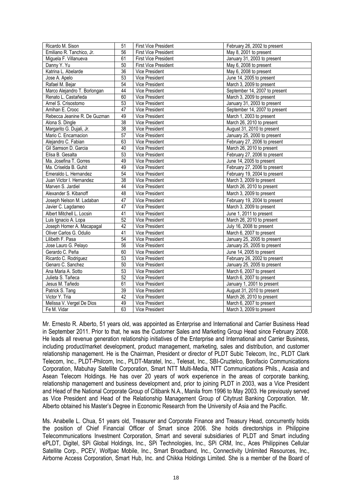| Ricardo M. Sison             | 51              | <b>First Vice President</b> | February 26, 2002 to present  |
|------------------------------|-----------------|-----------------------------|-------------------------------|
| Emiliano R. Tanchico, Jr.    | $\overline{56}$ | <b>First Vice President</b> | May 8, 2001 to present        |
| Miguela F. Villanueva        | 61              | <b>First Vice President</b> | January 31, 2003 to present   |
| Danny Y. Yu                  | 50              | <b>First Vice President</b> | May 6, 2008 to present        |
| Katrina L. Abelarde          | $\overline{36}$ | Vice President              | May 6, 2008 to present        |
| Jose A. Apelo                | 53              | Vice President              | June 14, 2005 to present      |
| Rafael M. Bejar              | 54              | Vice President              | March 3, 2009 to present      |
| Marco Alejandro T. Borlongan | 44              | Vice President              | September 14, 2007 to present |
| Renato L. Castañeda          | 60              | Vice President              | March 3, 2009 to present      |
| Arnel S. Crisostomo          | 53              | Vice President              | January 31, 2003 to present   |
| Amihan E. Crooc              | $\overline{47}$ | Vice President              | September 14, 2007 to present |
| Rebecca Jeanine R. De Guzman | 49              | <b>Vice President</b>       | March 1, 2003 to present      |
| Alona S. Dingle              | 38              | <b>Vice President</b>       | March 26, 2010 to present     |
| Margarito G. Dujali, Jr.     | $\overline{38}$ | Vice President              | August 31, 2010 to present    |
| Mario C. Encarnacion         | $\overline{57}$ | <b>Vice President</b>       | January 25, 2000 to present   |
| Alejandro C. Fabian          | 63              | Vice President              | February 27, 2006 to present  |
| Gil Samson D. Garcia         | 40              | Vice President              | March 26, 2010 to present     |
| Elisa B. Gesalta             | 53              | Vice President              | February 27, 2006 to present  |
| Ma. Josefina T. Gorres       | 49              | Vice President              | June 14, 2005 to present      |
| Ma. Criselda B. Guhit        | 49              | Vice President              | February 27, 2006 to present  |
| Emeraldo L. Hernandez        | 54              | Vice President              | February 19, 2004 to present  |
| Juan Victor I. Hernandez     | 38              | Vice President              | March 3, 2009 to present      |
| Marven S. Jardiel            | 44              | Vice President              | March 26, 2010 to present     |
| Alexander S. Kibanoff        | 48              | <b>Vice President</b>       | March 3, 2009 to present      |
| Joseph Nelson M. Ladaban     | 47              | Vice President              | February 19, 2004 to present  |
| Javier C. Lagdameo           | 47              | <b>Vice President</b>       | March 3, 2009 to present      |
| Albert Mitchell L. Locsin    | 41              | Vice President              | June 1, 2011 to present       |
| Luis Ignacio A. Lopa         | 52              | Vice President              | March 26, 2010 to present     |
| Joseph Homer A. Macapagal    | 42              | Vice President              | July 16, 2008 to present      |
| Oliver Carlos G. Odulio      | 41              | Vice President              | March 6, 2007 to present      |
| Lilibeth F. Pasa             | 54              | Vice President              | January 25, 2005 to present   |
| Jose Lauro G. Pelayo         | $\overline{56}$ | Vice President              | January 25, 2005 to present   |
| Gerardo C. Peña              | 60              | Vice President              | June 14, 2005 to present      |
| Ricardo C. Rodriguez         | 53              | Vice President              | February 26, 2002 to present  |
| Genaro C. Sanchez            | 50              | <b>Vice President</b>       | January 25, 2005 to present   |
| Ana Maria A. Sotto           | 53              | Vice President              | March 6, 2007 to present      |
| Julieta S. Tañeca            | 52              | Vice President              | March 6, 2007 to present      |
| Jesus M. Tañedo              | 61              | Vice President              | January 1, 2001 to present    |
| Patrick S. Tang              | 39              | Vice President              | August 31, 2010 to present    |
| Victor Y. Tria               | 42              | Vice President              | March 26, 2010 to present     |
| Melissa V. Vergel De Dios    | 49              | Vice President              | March 6, 2007 to present      |
| Fe M. Vidar                  | 63              | <b>Vice President</b>       | March 3, 2009 to present      |

Mr. Ernesto R. Alberto, 51 years old, was appointed as Enterprise and International and Carrier Business Head in September 2011. Prior to that, he was the Customer Sales and Marketing Group Head since February 2008. He leads all revenue generation relationship initiatives of the Enterprise and International and Carrier Business, including product/market development, product management, marketing, sales and distribution, and customer relationship management. He is the Chairman, President or director of PLDT Subic Telecom, Inc., PLDT Clark Telecom, Inc., PLDT-Philcom, Inc., PLDT-Maratel, Inc., Telesat, Inc., SBI-Cruztelco, Bonifacio Communications Corporation, Mabuhay Satellite Corporation, Smart NTT Multi-Media, NTT Communications Phils., Acasia and Asean Telecom Holdings. He has over 20 years of work experience in the areas of corporate banking, relationship management and business development and, prior to joining PLDT in 2003, was a Vice President and Head of the National Corporate Group of Citibank N.A., Manila from 1996 to May 2003. He previously served as Vice President and Head of the Relationship Management Group of Citytrust Banking Corporation. Mr. Alberto obtained his Master's Degree in Economic Research from the University of Asia and the Pacific.

Ms. Anabelle L. Chua, 51 years old, Treasurer and Corporate Finance and Treasury Head, concurrently holds the position of Chief Financial Officer of Smart since 2006. She holds directorships in Philippine Telecommunications Investment Corporation, Smart and several subsidiaries of PLDT and Smart including ePLDT, Digitel, SPi Global Holdings, Inc., SPi Technologies, Inc., SPi CRM, Inc., Aces Philippines Cellular Satellite Corp., PCEV, Wolfpac Mobile, Inc., Smart Broadband, Inc., Connectivity Unlimited Resources, Inc., Airborne Access Corporation, Smart Hub, Inc. and Chikka Holdings Limited. She is a member of the Board of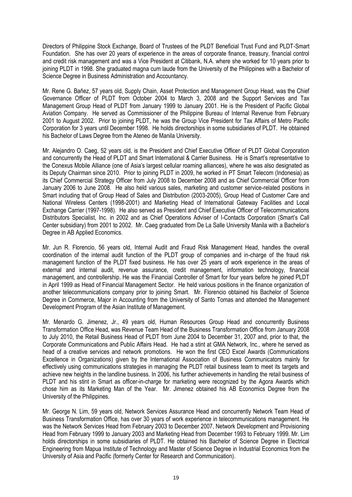Directors of Philippine Stock Exchange, Board of Trustees of the PLDT Beneficial Trust Fund and PLDT-Smart Foundation. She has over 20 years of experience in the areas of corporate finance, treasury, financial control and credit risk management and was a Vice President at Citibank, N.A. where she worked for 10 years prior to joining PLDT in 1998. She graduated magna cum laude from the University of the Philippines with a Bachelor of Science Degree in Business Administration and Accountancy.

Mr. Rene G. Bañez, 57 years old, Supply Chain, Asset Protection and Management Group Head, was the Chief Governance Officer of PLDT from October 2004 to March 3, 2008 and the Support Services and Tax Management Group Head of PLDT from January 1999 to January 2001. He is the President of Pacific Global Aviation Company. He served as Commissioner of the Philippine Bureau of Internal Revenue from February 2001 to August 2002. Prior to joining PLDT, he was the Group Vice President for Tax Affairs of Metro Pacific Corporation for 3 years until December 1998. He holds directorships in some subsidiaries of PLDT. He obtained his Bachelor of Laws Degree from the Ateneo de Manila University.

Mr. Alejandro O. Caeg, 52 years old, is the President and Chief Executive Officer of PLDT Global Corporation and concurrently the Head of PLDT and Smart International & Carrier Business. He is Smart's representative to the Conexus Mobile Alliance (one of Asia's largest cellular roaming alliances), where he was also designated as its Deputy Chairman since 2010. Prior to joining PLDT in 2009, he worked in PT Smart Telecom (Indonesia) as its Chief Commercial Strategy Officer from July 2008 to December 2008 and as Chief Commercial Officer from January 2006 to June 2008. He also held various sales, marketing and customer service-related positions in Smart including that of Group Head of Sales and Distribution (2003-2005), Group Head of Customer Care and National Wireless Centers (1998-2001) and Marketing Head of International Gateway Facilities and Local Exchange Carrier (1997-1998). He also served as President and Chief Executive Officer of Telecommunications Distributors Specialist, Inc. in 2002 and as Chief Operations Adviser of I-Contacts Corporation (Smart's Call Center subsidiary) from 2001 to 2002. Mr. Caeg graduated from De La Salle University Manila with a Bachelor's Degree in AB Applied Economics.

Mr. Jun R. Florencio, 56 years old, Internal Audit and Fraud Risk Management Head, handles the overall coordination of the internal audit function of the PLDT group of companies and in-charge of the fraud risk management function of the PLDT fixed business. He has over 25 years of work experience in the areas of external and internal audit, revenue assurance, credit management, information technology, financial management, and controllership. He was the Financial Controller of Smart for four years before he joined PLDT in April 1999 as Head of Financial Management Sector. He held various positions in the finance organization of another telecommunications company prior to joining Smart. Mr. Florencio obtained his Bachelor of Science Degree in Commerce, Major in Accounting from the University of Santo Tomas and attended the Management Development Program of the Asian Institute of Management.

Mr. Menardo G. Jimenez, Jr., 49 years old, Human Resources Group Head and concurrently Business Transformation Office Head, was Revenue Team Head of the Business Transformation Office from January 2008 to July 2010, the Retail Business Head of PLDT from June 2004 to December 31, 2007 and, prior to that, the Corporate Communications and Public Affairs Head. He had a stint at GMA Network, Inc., where he served as head of a creative services and network promotions. He won the first CEO Excel Awards (Communications Excellence in Organizations) given by the International Association of Business Communicators mainly for effectively using communications strategies in managing the PLDT retail business team to meet its targets and achieve new heights in the landline business. In 2006, his further achievements in handling the retail business of PLDT and his stint in Smart as officer-in-charge for marketing were recognized by the Agora Awards which chose him as its Marketing Man of the Year. Mr. Jimenez obtained his AB Economics Degree from the University of the Philippines.

Mr. George N. Lim, 59 years old, Network Services Assurance Head and concurrently Network Team Head of Business Transformation Office, has over 30 years of work experience in telecommunications management. He was the Network Services Head from February 2003 to December 2007, Network Development and Provisioning Head from February 1999 to January 2003 and Marketing Head from December 1993 to February 1999. Mr. Lim holds directorships in some subsidiaries of PLDT. He obtained his Bachelor of Science Degree in Electrical Engineering from Mapua Institute of Technology and Master of Science Degree in Industrial Economics from the University of Asia and Pacific (formerly Center for Research and Communication).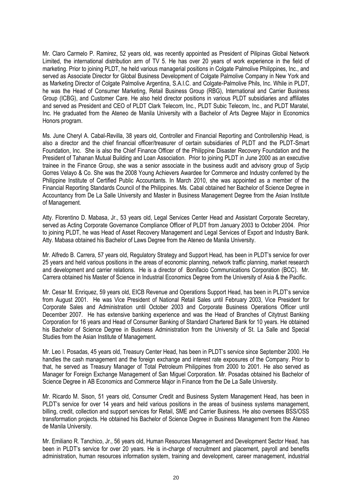Mr. Claro Carmelo P. Ramirez, 52 years old, was recently appointed as President of Pilipinas Global Network Limited, the international distribution arm of TV 5. He has over 20 years of work experience in the field of marketing. Prior to joining PLDT, he held various managerial positions in Colgate Palmolive Philippines, Inc., and served as Associate Director for Global Business Development of Colgate Palmolive Company in New York and as Marketing Director of Colgate Palmolive Argentina, S.A.I.C. and Colgate-Palmolive Phils, Inc. While in PLDT, he was the Head of Consumer Marketing, Retail Business Group (RBG), International and Carrier Business Group (ICBG), and Customer Care. He also held director positions in various PLDT subsidiaries and affiliates and served as President and CEO of PLDT Clark Telecom, Inc., PLDT Subic Telecom, Inc., and PLDT Maratel, Inc. He graduated from the Ateneo de Manila University with a Bachelor of Arts Degree Major in Economics Honors program.

Ms. June Cheryl A. Cabal-Revilla, 38 years old, Controller and Financial Reporting and Controllership Head, is also a director and the chief financial officer/treasurer of certain subsidiaries of PLDT and the PLDT-Smart Foundation, Inc. She is also the Chief Finance Officer of the Philippine Disaster Recovery Foundation and the President of Tahanan Mutual Building and Loan Association. Prior to joining PLDT in June 2000 as an executive trainee in the Finance Group, she was a senior associate in the business audit and advisory group of Sycip Gorres Velayo & Co. She was the 2008 Young Achievers Awardee for Commerce and Industry conferred by the Philippine Institute of Certified Public Accountants. In March 2010, she was appointed as a member of the Financial Reporting Standards Council of the Philippines. Ms. Cabal obtained her Bachelor of Science Degree in Accountancy from De La Salle University and Master in Business Management Degree from the Asian Institute of Management.

Atty. Florentino D. Mabasa, Jr., 53 years old, Legal Services Center Head and Assistant Corporate Secretary, served as Acting Corporate Governance Compliance Officer of PLDT from January 2003 to October 2004. Prior to joining PLDT, he was Head of Asset Recovery Management and Legal Services of Export and Industry Bank. Atty. Mabasa obtained his Bachelor of Laws Degree from the Ateneo de Manila University.

Mr. Alfredo B. Carrera, 57 years old, Regulatory Strategy and Support Head, has been in PLDT's service for over 25 years and held various positions in the areas of economic planning, network traffic planning, market research and development and carrier relations. He is a director of Bonifacio Communications Corporation (BCC). Mr. Carrera obtained his Master of Science in Industrial Economics Degree from the University of Asia & the Pacific.

Mr. Cesar M. Enriquez, 59 years old, EICB Revenue and Operations Support Head, has been in PLDT's service from August 2001. He was Vice President of National Retail Sales until February 2003, Vice President for Corporate Sales and Administration until October 2003 and Corporate Business Operations Officer until December 2007. He has extensive banking experience and was the Head of Branches of Citytrust Banking Corporation for 16 years and Head of Consumer Banking of Standard Chartered Bank for 10 years. He obtained his Bachelor of Science Degree in Business Administration from the University of St. La Salle and Special Studies from the Asian Institute of Management.

Mr. Leo I. Posadas, 45 years old, Treasury Center Head, has been in PLDT's service since September 2000. He handles the cash management and the foreign exchange and interest rate exposures of the Company. Prior to that, he served as Treasury Manager of Total Petroleum Philippines from 2000 to 2001. He also served as Manager for Foreign Exchange Management of San Miguel Corporation. Mr. Posadas obtained his Bachelor of Science Degree in AB Economics and Commerce Major in Finance from the De La Salle University.

Mr. Ricardo M. Sison, 51 years old, Consumer Credit and Business System Management Head, has been in PLDT's service for over 14 years and held various positions in the areas of business systems management, billing, credit, collection and support services for Retail, SME and Carrier Business. He also oversees BSS/OSS transformation projects. He obtained his Bachelor of Science Degree in Business Management from the Ateneo de Manila University.

Mr. Emiliano R. Tanchico, Jr., 56 years old, Human Resources Management and Development Sector Head, has been in PLDT's service for over 20 years. He is in-charge of recruitment and placement, payroll and benefits administration, human resources information system, training and development, career management, industrial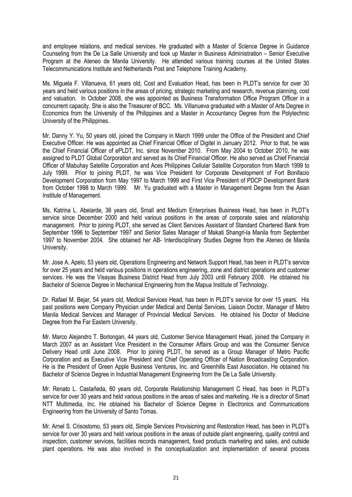and employee relations, and medical services. He graduated with a Master of Science Degree in Guidance Counseling from the De La Salle University and took up Master in Business Administration – Senior Executive Program at the Ateneo de Manila University. He attended various training courses at the United States Telecommunications Institute and Netherlands Post and Telephone Training Academy.

Ms. Miguela F. Villanueva, 61 years old, Cost and Evaluation Head, has been in PLDT's service for over 30 years and held various positions in the areas of pricing, strategic marketing and research, revenue planning, cost and valuation. In October 2008, she was appointed as Business Transformation Office Program Officer in a concurrent capacity. She is also the Treasurer of BCC. Ms. Villanueva graduated with a Master of Arts Degree in Economics from the University of the Philippines and a Master in Accountancy Degree from the Polytechnic University of the Philippines.

Mr. Danny Y. Yu, 50 years old, joined the Company in March 1999 under the Office of the President and Chief Executive Officer. He was appointed as Chief Financial Officer of Digitel in January 2012. Prior to that, he was the Chief Financial Officer of ePLDT, Inc. since November 2010. From May 2004 to October 2010, he was assigned to PLDT Global Corporation and served as its Chief Financial Officer. He also served as Chief Financial Officer of Mabuhay Satellite Corporation and Aces Philippines Cellular Satellite Corporation from March 1999 to July 1999. Prior to joining PLDT, he was Vice President for Corporate Development of Fort Bonifacio Development Corporation from May 1997 to March 1999 and First Vice President of PDCP Development Bank from October 1998 to March 1999. Mr. Yu graduated with a Master in Management Degree from the Asian Institute of Management.

Ms. Katrina L. Abelarde, 36 years old, Small and Medium Enterprises Business Head, has been in PLDT's service since December 2000 and held various positions in the areas of corporate sales and relationship management. Prior to joining PLDT, she served as Client Services Assistant of Standard Chartered Bank from September 1996 to September 1997 and Senior Sales Manager of Makati Shangri-la Manila from September 1997 to November 2004. She obtained her AB- Interdisciplinary Studies Degree from the Ateneo de Manila University.

Mr. Jose A. Apelo, 53 years old, Operations Engineering and Network Support Head, has been in PLDT's service for over 25 years and held various positions in operations engineering, zone and district operations and customer services. He was the Visayas Business District Head from July 2003 until February 2008. He obtained his Bachelor of Science Degree in Mechanical Engineering from the Mapua Institute of Technology.

Dr. Rafael M. Bejar, 54 years old, Medical Services Head, has been in PLDT's service for over 15 years. His past positions were Company Physician under Medical and Dental Services, Liaison Doctor, Manager of Metro Manila Medical Services and Manager of Provincial Medical Services. He obtained his Doctor of Medicine Degree from the Far Eastern University.

Mr. Marco Alejandro T. Borlongan, 44 years old, Customer Service Management Head, joined the Company in March 2007 as an Assistant Vice President in the Consumer Affairs Group and was the Consumer Service Delivery Head until June 2008. Prior to joining PLDT, he served as a Group Manager of Metro Pacific Corporation and as Executive Vice President and Chief Operating Officer of Nation Broadcasting Corporation. He is the President of Green Apple Business Ventures, Inc. and Greenhills East Association. He obtained his Bachelor of Science Degree in Industrial Management Engineering from the De La Salle University.

Mr. Renato L. Castañeda, 60 years old, Corporate Relationship Management C Head, has been in PLDT's service for over 30 years and held various positions in the areas of sales and marketing. He is a director of Smart NTT Multimedia, Inc. He obtained his Bachelor of Science Degree in Electronics and Communications Engineering from the University of Santo Tomas.

Mr. Arnel S. Crisostomo, 53 years old, Simple Services Provisioning and Restoration Head, has been in PLDT's service for over 30 years and held various positions in the areas of outside plant engineering, quality control and inspection, customer services, facilities records management, fixed products marketing and sales, and outside plant operations. He was also involved in the conceptualization and implementation of several process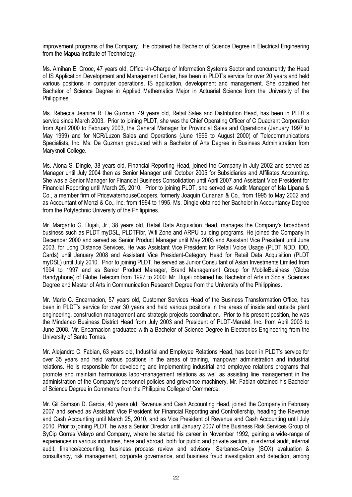improvement programs of the Company. He obtained his Bachelor of Science Degree in Electrical Engineering from the Mapua Institute of Technology.

Ms. Amihan E. Crooc, 47 years old, Officer-in-Charge of Information Systems Sector and concurrently the Head of IS Application Development and Management Center, has been in PLDT's service for over 20 years and held various positions in computer operations, IS application, development and management. She obtained her Bachelor of Science Degree in Applied Mathematics Major in Actuarial Science from the University of the Philippines.

Ms. Rebecca Jeanine R. De Guzman, 49 years old, Retail Sales and Distribution Head, has been in PLDT's service since March 2003. Prior to joining PLDT, she was the Chief Operating Officer of C Quadrant Corporation from April 2000 to February 2003, the General Manager for Provincial Sales and Operations (January 1997 to May 1999) and for NCR/Luzon Sales and Operations (June 1999 to August 2000) of Telecommunications Specialists, Inc. Ms. De Guzman graduated with a Bachelor of Arts Degree in Business Administration from Maryknoll College.

Ms. Alona S. Dingle, 38 years old, Financial Reporting Head, joined the Company in July 2002 and served as Manager until July 2004 then as Senior Manager until October 2005 for Subsidiaries and Affiliates Accounting. She was a Senior Manager for Financial Business Consolidation until April 2007 and Assistant Vice President for Financial Reporting until March 25, 2010. Prior to joining PLDT, she served as Audit Manager of Isla Lipana & Co., a member firm of PricewaterhouseCoopers, formerly Joaquin Cunanan & Co., from 1995 to May 2002 and as Accountant of Menzi & Co., Inc. from 1994 to 1995. Ms. Dingle obtained her Bachelor in Accountancy Degree from the Polytechnic University of the Philippines.

Mr. Margarito G. Dujali, Jr., 38 years old, Retail Data Acquisition Head, manages the Company's broadband business such as PLDT myDSL, PLDTFibr, Wifi Zone and ARPU building programs. He joined the Company in December 2000 and served as Senior Product Manager until May 2003 and Assistant Vice President until June 2003, for Long Distance Services. He was Assistant Vice President for Retail Voice Usage (PLDT NDD, IDD, Cards) until January 2008 and Assistant Vice President-Category Head for Retail Data Acquisition (PLDT myDSL) until July 2010. Prior to joining PLDT, he served as Junior Consultant of Asian Investments Limited from 1994 to 1997 and as Senior Product Manager, Brand Management Group for MobileBusiness (Globe Handyphone) of Globe Telecom from 1997 to 2000. Mr. Dujali obtained his Bachelor of Arts in Social Sciences Degree and Master of Arts in Communication Research Degree from the University of the Philippines.

Mr. Mario C. Encarnacion, 57 years old, Customer Services Head of the Business Transformation Office, has been in PLDT's service for over 30 years and held various positions in the areas of inside and outside plant engineering, construction management and strategic projects coordination. Prior to his present position, he was the Mindanao Business District Head from July 2003 and President of PLDT-Maratel, Inc. from April 2003 to June 2008. Mr. Encarnacion graduated with a Bachelor of Science Degree in Electronics Engineering from the University of Santo Tomas.

Mr. Alejandro C. Fabian, 63 years old, Industrial and Employee Relations Head, has been in PLDT's service for over 35 years and held various positions in the areas of training, manpower administration and industrial relations. He is responsible for developing and implementing industrial and employee relations programs that promote and maintain harmonious labor-management relations as well as assisting line management in the administration of the Company's personnel policies and grievance machinery. Mr. Fabian obtained his Bachelor of Science Degree in Commerce from the Philippine College of Commerce.

Mr. Gil Samson D. Garcia, 40 years old, Revenue and Cash Accounting Head, joined the Company in February 2007 and served as Assistant Vice President for Financial Reporting and Controllership, heading the Revenue and Cash Accounting until March 25, 2010, and as Vice President of Revenue and Cash Accounting until July 2010. Prior to joining PLDT, he was a Senior Director until January 2007 of the Business Risk Services Group of SyCip Gorres Velayo and Company, where he started his career in November 1992, gaining a wide-range of experiences in various industries, here and abroad, both for public and private sectors, in external audit, internal audit, finance/accounting, business process review and advisory, Sarbanes-Oxley (SOX) evaluation & consultancy, risk management, corporate governance, and business fraud investigation and detection, among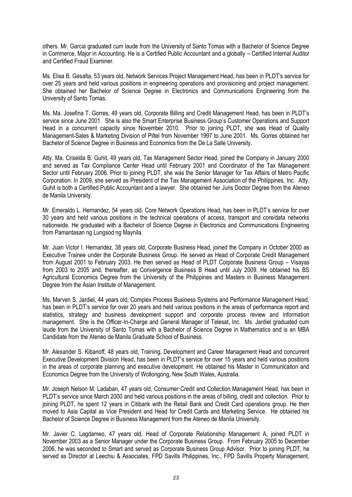others. Mr. Garcia graduated cum laude from the University of Santo Tomas with a Bachelor of Science Degree in Commerce, Major in Accounting. He is a Certified Public Accountant and a globally – Certified Internal Auditor and Certified Fraud Examiner.

Ms. Elisa B. Gesalta, 53 years old, Network Services Project Management Head, has been in PLDT's service for over 25 years and held various positions in engineering operations and provisioning and project management. She obtained her Bachelor of Science Degree in Electronics and Communications Engineering from the University of Santo Tomas.

Ms. Ma. Josefina T. Gorres, 49 years old, Corporate Billing and Credit Management Head, has been in PLDT's service since June 2001. She is also the Smart Enterprise Business Group's Customer Operations and Support Head in a concurrent capacity since November 2010. Prior to joining PLDT, she was Head of Quality Management-Sales & Marketing Division of Piltel from November 1997 to June 2001. Ms. Gorres obtained her Bachelor of Science Degree in Business and Economics from the De La Salle University.

Atty. Ma. Criselda B. Guhit, 49 years old, Tax Management Sector Head, joined the Company in January 2000 and served as Tax Compliance Center Head until February 2001 and Coordinator of the Tax Management Sector until February 2006. Prior to joining PLDT, she was the Senior Manager for Tax Affairs of Metro Pacific Corporation. In 2009, she served as President of the Tax Management Association of the Philippines, Inc. Atty. Guhit is both a Certified Public Accountant and a lawyer. She obtained her Juris Doctor Degree from the Ateneo de Manila University.

Mr. Emeraldo L. Hernandez, 54 years old, Core Network Operations Head, has been in PLDT's service for over 30 years and held various positions in the technical operations of access, transport and core/data networks nationwide. He graduated with a Bachelor of Science Degree in Electronics and Communications Engineering from Pamantasan ng Lungsod ng Maynila.

Mr. Juan Victor I. Hernandez, 38 years old, Corporate Business Head, joined the Company in October 2000 as Executive Trainee under the Corporate Business Group. He served as Head of Corporate Credit Management from August 2001 to February 2003. He then served as Head of PLDT Corporate Business Group – Visayas from 2003 to 2005 and, thereafter, as Convergence Business B Head until July 2009. He obtained his BS Agricultural Economics Degree from the University of the Philippines and Masters in Business Management Degree from the Asian Institute of Management.

Ms. Marven S. Jardiel, 44 years old, Complex Process Business Systems and Performance Management Head, has been in PLDT's service for over 20 years and held various positions in the areas of performance report and statistics, strategy and business development support and corporate process review and information management. She is the Officer-In-Charge and General Manager of Telesat, Inc. Ms. Jardiel graduated cum laude from the University of Santo Tomas with a Bachelor of Science Degree in Mathematics and is an MBA Candidate from the Ateneo de Manila Graduate School of Business.

Mr. Alexander S. Kibanoff, 48 years old, Training, Development and Career Management Head and concurrent Executive Development Division Head, has been in PLDT's service for over 15 years and held various positions in the areas of corporate planning and executive development. He obtained his Master in Communication and Economics Degree from the University of Wollongong, New South Wales, Australia.

Mr. Joseph Nelson M. Ladaban, 47 years old, Consumer Credit and Collection Management Head, has been in PLDT's service since March 2000 and held various positions in the areas of billing, credit and collection. Prior to ioining PLDT, he spent 12 years in Citibank with the Retail Bank and Credit Card operations group. He then moved to Asia Capital as Vice President and Head for Credit Cards and Marketing Service. He obtained his Bachelor of Science Degree in Business Management from the Ateneo de Manila University.

Mr. Javier C. Lagdameo, 47 years old, Head of Corporate Relationship Management A, joined PLDT in November 2003 as a Senior Manager under the Corporate Business Group. From February 2005 to December 2006, he was seconded to Smart and served as Corporate Business Group Advisor. Prior to joining PLDT, he served as Director at Leechiu & Associates, FPD Savills Philippines, Inc., FPD Savills Property Management,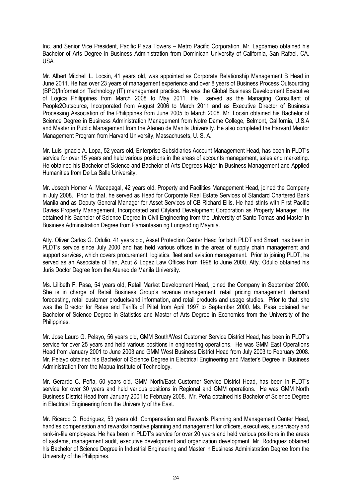Inc. and Senior Vice President, Pacific Plaza Towers – Metro Pacific Corporation. Mr. Lagdameo obtained his Bachelor of Arts Degree in Business Administration from Dominican University of California, San Rafael, CA. USA.

Mr. Albert Mitchell L. Locsin, 41 years old, was appointed as Corporate Relationship Management B Head in June 2011. He has over 23 years of management experience and over 8 years of Business Process Outsourcing (BPO)/Information Technology (IT) management practice. He was the Global Business Development Executive of Logica Philippines from March 2008 to May 2011. He served as the Managing Consultant of People2Outsource, Incorporated from August 2006 to March 2011 and as Executive Director of Business Processing Association of the Philippines from June 2005 to March 2008. Mr. Locsin obtained his Bachelor of Science Degree in Business Administration Management from Notre Dame College, Belmont, California, U.S.A and Master in Public Management from the Ateneo de Manila University. He also completed the Harvard Mentor Management Program from Harvard University, Massachusets, U. S. A.

Mr. Luis Ignacio A. Lopa, 52 years old, Enterprise Subsidiaries Account Management Head, has been in PLDT's service for over 15 years and held various positions in the areas of accounts management, sales and marketing. He obtained his Bachelor of Science and Bachelor of Arts Degrees Major in Business Management and Applied Humanities from De La Salle University.

Mr. Joseph Homer A. Macapagal, 42 years old, Property and Facilities Management Head, joined the Company in July 2008. Prior to that, he served as Head for Corporate Real Estate Services of Standard Chartered Bank Manila and as Deputy General Manager for Asset Services of CB Richard Ellis. He had stints with First Pacific Davies Property Management, Incorporated and Cityland Development Corporation as Property Manager. He obtained his Bachelor of Science Degree in Civil Engineering from the University of Santo Tomas and Master In Business Administration Degree from Pamantasan ng Lungsod ng Maynila.

Atty. Oliver Carlos G. Odulio, 41 years old, Asset Protection Center Head for both PLDT and Smart, has been in PLDT's service since July 2000 and has held various offices in the areas of supply chain management and support services, which covers procurement, logistics, fleet and aviation management. Prior to joining PLDT, he served as an Associate of Tan, Acut & Lopez Law Offices from 1998 to June 2000. Atty. Odulio obtained his Juris Doctor Degree from the Ateneo de Manila University.

Ms. Lilibeth F. Pasa, 54 years old, Retail Market Development Head, joined the Company in September 2000. She is in charge of Retail Business Group's revenue management, retail pricing management, demand forecasting, retail customer products/and information, and retail products and usage studies. Prior to that, she was the Director for Rates and Tariffs of Piltel from April 1997 to September 2000. Ms. Pasa obtained her Bachelor of Science Degree in Statistics and Master of Arts Degree in Economics from the University of the Philippines.

Mr. Jose Lauro G. Pelayo, 56 years old, GMM South/West Customer Service District Head, has been in PLDT's service for over 25 years and held various positions in engineering operations. He was GMM East Operations Head from January 2001 to June 2003 and GMM West Business District Head from July 2003 to February 2008. Mr. Pelayo obtained his Bachelor of Science Degree in Electrical Engineering and Master's Degree in Business Administration from the Mapua Institute of Technology.

Mr. Gerardo C. Peña, 60 years old, GMM North/East Customer Service District Head, has been in PLDT's service for over 30 years and held various positions in Regional and GMM operations. He was GMM North Business District Head from January 2001 to February 2008. Mr. Peña obtained his Bachelor of Science Degree in Electrical Engineering from the University of the East.

Mr. Ricardo C. Rodriguez, 53 years old, Compensation and Rewards Planning and Management Center Head, handles compensation and rewards/incentive planning and management for officers, executives, supervisory and rank-in-file employees. He has been in PLDT's service for over 20 years and held various positions in the areas of systems, management audit, executive development and organization development. Mr. Rodriquez obtained his Bachelor of Science Degree in Industrial Engineering and Master in Business Administration Degree from the University of the Philippines.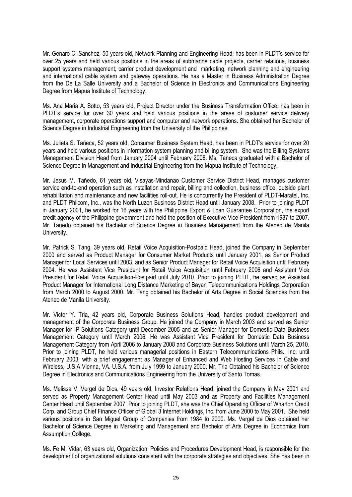Mr. Genaro C. Sanchez, 50 years old, Network Planning and Engineering Head, has been in PLDT's service for over 25 years and held various positions in the areas of submarine cable projects, carrier relations, business support systems management, carrier product development and marketing, network planning and engineering and international cable system and gateway operations. He has a Master in Business Administration Degree from the De La Salle University and a Bachelor of Science in Electronics and Communications Engineering Degree from Mapua Institute of Technology.

Ms. Ana Maria A. Sotto, 53 years old, Project Director under the Business Transformation Office, has been in PLDT's service for over 30 years and held various positions in the areas of customer service delivery management, corporate operations support and computer and network operations. She obtained her Bachelor of Science Degree in Industrial Engineering from the University of the Philippines.

Ms. Julieta S. Tañeca, 52 years old, Consumer Business System Head, has been in PLDT's service for over 20 years and held various positions in information system planning and billing system. She was the Billing Systems Management Division Head from January 2004 until February 2008. Ms. Tañeca graduated with a Bachelor of Science Degree in Management and Industrial Engineering from the Mapua Institute of Technology.

Mr. Jesus M. Tañedo, 61 years old, Visayas-Mindanao Customer Service District Head, manages customer service end-to-end operation such as installation and repair, billing and collection, business office, outside plant rehabilitation and maintenance and new facilities roll-out. He is concurrently the President of PLDT-Maratel, Inc. and PLDT Philcom, Inc., was the North Luzon Business District Head until January 2008. Prior to joining PLDT in January 2001, he worked for 16 years with the Philippine Export & Loan Guarantee Corporation, the export credit agency of the Philippine government and held the position of Executive Vice-President from 1987 to 2007. Mr. Tañedo obtained his Bachelor of Science Degree in Business Management from the Ateneo de Manila University.

Mr. Patrick S. Tang, 39 years old, Retail Voice Acquisition-Postpaid Head, joined the Company in September 2000 and served as Product Manager for Consumer Market Products until January 2001, as Senior Product Manager for Local Services until 2003, and as Senior Product Manager for Retail Voice Acquisition until February 2004. He was Assistant Vice President for Retail Voice Acquisition until February 2006 and Assistant Vice President for Retail Voice Acquisition-Postpaid until July 2010. Prior to joining PLDT, he served as Assistant Product Manager for International Long Distance Marketing of Bayan Telecommunications Holdings Corporation from March 2000 to August 2000. Mr. Tang obtained his Bachelor of Arts Degree in Social Sciences from the Ateneo de Manila University.

Mr. Victor Y. Tria, 42 years old, Corporate Business Solutions Head, handles product development and management of the Corporate Business Group. He joined the Company in March 2003 and served as Senior Manager for IP Solutions Category until December 2005 and as Senior Manager for Domestic Data Business Management Category until March 2006. He was Assistant Vice President for Domestic Data Business Management Category from April 2006 to January 2008 and Corporate Business Solutions until March 25, 2010. Prior to joining PLDT, he held various managerial positions in Eastern Telecommunications Phils., Inc. until February 2003, with a brief engagement as Manager of Enhanced and Web Hosting Services in Cable and Wireless, U.S.A Vienna, VA. U.S.A. from July 1999 to January 2000. Mr. Tria Obtained his Bachelor of Science Degree in Electronics and Communications Engineering from the University of Santo Tomas.

Ms. Melissa V. Vergel de Dios, 49 years old, Investor Relations Head, joined the Company in May 2001 and served as Property Management Center Head until May 2003 and as Property and Facilities Management Center Head until September 2007. Prior to joining PLDT, she was the Chief Operating Officer of Wharton Credit Corp. and Group Chief Finance Officer of Global 3 Internet Holdings, Inc. from June 2000 to May 2001. She held various positions in San Miguel Group of Companies from 1984 to 2000. Ms. Vergel de Dios obtained her Bachelor of Science Degree in Marketing and Management and Bachelor of Arts Degree in Economics from Assumption College.

Ms. Fe M. Vidar, 63 years old, Organization, Policies and Procedures Development Head, is responsible for the development of organizational solutions consistent with the corporate strategies and objectives. She has been in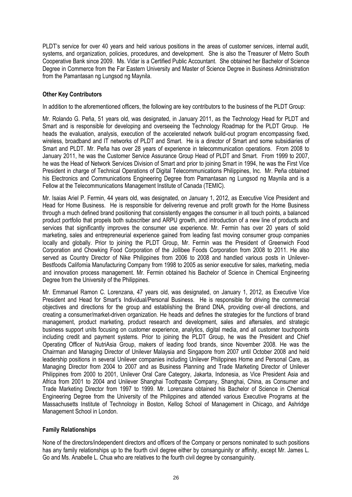PLDT's service for over 40 years and held various positions in the areas of customer services, internal audit, systems, and organization, policies, procedures, and development. She is also the Treasurer of Metro South Cooperative Bank since 2009. Ms. Vidar is a Certified Public Accountant. She obtained her Bachelor of Science Degree in Commerce from the Far Eastern University and Master of Science Degree in Business Administration from the Pamantasan ng Lungsod ng Maynila.

#### **Other Key Contributors**

In addition to the aforementioned officers, the following are key contributors to the business of the PLDT Group:

Mr. Rolando G. Peña, 51 years old, was designated, in January 2011, as the Technology Head for PLDT and Smart and is responsible for developing and overseeing the Technology Roadmap for the PLDT Group. He heads the evaluation, analysis, execution of the accelerated network build-out program encompassing fixed, wireless, broadband and IT networks of PLDT and Smart. He is a director of Smart and some subsidiaries of Smart and PLDT. Mr. Peña has over 28 years of experience in telecommunication operations. From 2008 to January 2011, he was the Customer Service Assurance Group Head of PLDT and Smart. From 1999 to 2007, he was the Head of Network Services Division of Smart and prior to joining Smart in 1994, he was the First Vice President in charge of Technical Operations of Digital Telecommunications Philippines, Inc. Mr. Peña obtained his Electronics and Communications Engineering Degree from Pamantasan ng Lungsod ng Maynila and is a Fellow at the Telecommunications Management Institute of Canada (TEMIC).

Mr. Isaias Ariel P. Fermin, 44 years old, was designated, on January 1, 2012, as Executive Vice President and Head for Home Business. He is responsible for delivering revenue and profit growth for the Home Business through a much defined brand positioning that consistently engages the consumer in all touch points, a balanced product portfolio that propels both subscriber and ARPU growth, and introduction of a new line of products and services that significantly improves the consumer use experience. Mr. Fermin has over 20 years of solid marketing, sales and entrepreneurial experience gained from leading fast moving consumer group companies locally and globally. Prior to joining the PLDT Group, Mr. Fermin was the President of Greenwich Food Corporation and Chowking Food Corporation of the Jollibee Foods Corporation from 2008 to 2011. He also served as Country Director of Nike Philippines from 2006 to 2008 and handled various posts in Unilever-Bestfoods California Manufacturing Company from 1998 to 2005 as senior executive for sales, marketing, media and innovation process management. Mr. Fermin obtained his Bachelor of Science in Chemical Engineering Degree from the University of the Philippines.

Mr. Emmanuel Ramon C. Lorenzana, 47 years old, was designated, on January 1, 2012, as Executive Vice President and Head for Smart's Individual/Personal Business. He is responsible for driving the commercial objectives and directions for the group and establishing the Brand DNA, providing over-all directions, and creating a consumer/market-driven organization. He heads and defines the strategies for the functions of brand management, product marketing, product research and development, sales and aftersales, and strategic business support units focusing on customer experience, analytics, digital media, and all customer touchpoints including credit and payment systems. Prior to joining the PLDT Group, he was the President and Chief Operating Officer of NutriAsia Group, makers of leading food brands, since November 2008. He was the Chairman and Managing Director of Unilever Malaysia and Singapore from 2007 until October 2008 and held leadership positions in several Unilever companies including Unilever Philippines Home and Personal Care, as Managing Director from 2004 to 2007 and as Business Planning and Trade Marketing Director of Unilever Philippines from 2000 to 2001, Unilever Oral Care Category, Jakarta, Indonesia, as Vice President Asia and Africa from 2001 to 2004 and Unilever Shanghai Toothpaste Company, Shanghai, China, as Consumer and Trade Marketing Director from 1997 to 1999. Mr. Lorenzana obtained his Bachelor of Science in Chemical Engineering Degree from the University of the Philippines and attended various Executive Programs at the Massachusetts Institute of Technology in Boston, Kellog School of Management in Chicago, and Ashridge Management School in London.

#### **Family Relationships**

None of the directors/independent directors and officers of the Company or persons nominated to such positions has any family relationships up to the fourth civil degree either by consanguinity or affinity, except Mr. James L. Go and Ms. Anabelle L. Chua who are relatives to the fourth civil degree by consanguinity.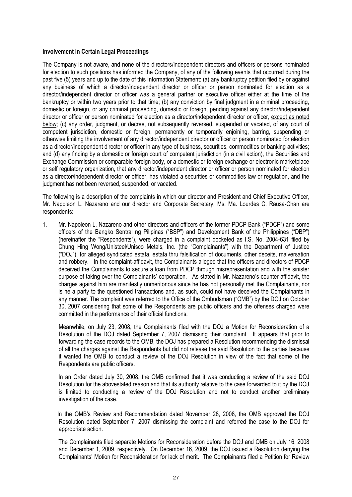#### **Involvement in Certain Legal Proceedings**

The Company is not aware, and none of the directors/independent directors and officers or persons nominated for election to such positions has informed the Company, of any of the following events that occurred during the past five (5) years and up to the date of this Information Statement: (a) any bankruptcy petition filed by or against any business of which a director/independent director or officer or person nominated for election as a director/independent director or officer was a general partner or executive officer either at the time of the bankruptcy or within two years prior to that time; (b) any conviction by final judgment in a criminal proceeding, domestic or foreign, or any criminal proceeding, domestic or foreign, pending against any director/independent director or officer or person nominated for election as a director/independent director or officer, except as noted below; (c) any order, judgment, or decree, not subsequently reversed, suspended or vacated, of any court of competent jurisdiction, domestic or foreign, permanently or temporarily enjoining, barring, suspending or otherwise limiting the involvement of any director/independent director or officer or person nominated for election as a director/independent director or officer in any type of business, securities, commodities or banking activities; and (d) any finding by a domestic or foreign court of competent jurisdiction (in a civil action), the Securities and Exchange Commission or comparable foreign body, or a domestic or foreign exchange or electronic marketplace or self regulatory organization, that any director/independent director or officer or person nominated for election as a director/independent director or officer, has violated a securities or commodities law or regulation, and the judgment has not been reversed, suspended, or vacated.

The following is a description of the complaints in which our director and President and Chief Executive Officer, Mr. Napoleon L. Nazareno and our director and Corporate Secretary, Ms. Ma. Lourdes C. Rausa-Chan are respondents:

1. Mr. Napoleon L. Nazareno and other directors and officers of the former PDCP Bank ("PDCP") and some officers of the Bangko Sentral ng Pilipinas ("BSP") and Development Bank of the Philippines ("DBP") (hereinafter the "Respondents"), were charged in a complaint docketed as I.S. No. 2004-631 filed by Chung Hing Wong/Unisteel/Unisco Metals, Inc. (the "Complainants") with the Department of Justice ("DOJ"), for alleged syndicated estafa, estafa thru falsification of documents, other deceits, malversation and robbery. In the complaint-affidavit, the Complainants alleged that the officers and directors of PDCP deceived the Complainants to secure a loan from PDCP through misrepresentation and with the sinister purpose of taking over the Complainants' corporation. As stated in Mr. Nazareno's counter-affidavit, the charges against him are manifestly unmeritorious since he has not personally met the Complainants, nor is he a party to the questioned transactions and, as such, could not have deceived the Complainants in any manner. The complaint was referred to the Office of the Ombudsman ("OMB") by the DOJ on October 30, 2007 considering that some of the Respondents are public officers and the offenses charged were committed in the performance of their official functions.

Meanwhile, on July 23, 2008, the Complainants filed with the DOJ a Motion for Reconsideration of a Resolution of the DOJ dated September 7, 2007 dismissing their complaint. It appears that prior to forwarding the case records to the OMB, the DOJ has prepared a Resolution recommending the dismissal of all the charges against the Respondents but did not release the said Resolution to the parties because it wanted the OMB to conduct a review of the DOJ Resolution in view of the fact that some of the Respondents are public officers.

In an Order dated July 30, 2008, the OMB confirmed that it was conducting a review of the said DOJ Resolution for the abovestated reason and that its authority relative to the case forwarded to it by the DOJ is limited to conducting a review of the DOJ Resolution and not to conduct another preliminary investigation of the case.

 In the OMB's Review and Recommendation dated November 28, 2008, the OMB approved the DOJ Resolution dated September 7, 2007 dismissing the complaint and referred the case to the DOJ for appropriate action.

The Complainants filed separate Motions for Reconsideration before the DOJ and OMB on July 16, 2008 and December 1, 2009, respectively. On December 16, 2009, the DOJ issued a Resolution denying the Complainants' Motion for Reconsideration for lack of merit. The Complainants filed a Petition for Review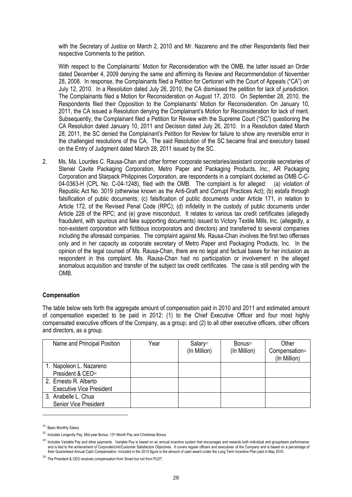with the Secretary of Justice on March 2, 2010 and Mr. Nazareno and the other Respondents filed their respective Comments to the petition.

With respect to the Complainants' Motion for Reconsideration with the OMB, the latter issued an Order dated December 4, 2009 denying the same and affirming its Review and Recommendation of November 28, 2008. In response, the Complainants filed a Petition for Certiorari with the Court of Appeals ("CA") on July 12, 2010. In a Resolution dated July 26, 2010, the CA dismissed the petition for lack of jurisdiction. The Complainants filed a Motion for Reconsideration on August 17, 2010. On September 28, 2010, the Respondents filed their Opposition to the Complainants' Motion for Reconsideration. On January 10, 2011, the CA issued a Resolution denying the Complainant's Motion for Reconsideration for lack of merit. Subsequently, the Complainant filed a Petition for Review with the Supreme Court ("SC") questioning the CA Resolution dated January 10, 2011 and Decision dated July 26, 2010. In a Resolution dated March 28, 2011, the SC denied the Complainant's Petition for Review for failure to show any reversible error in the challenged resolutions of the CA. The said Resolution of the SC became final and executory based on the Entry of Judgment dated March 28, 2011 issued by the SC.

2. Ms. Ma. Lourdes C. Rausa-Chan and other former corporate secretaries/assistant corporate secretaries of Steniel Cavite Packaging Corporation, Metro Paper and Packaging Products, Inc., AR Packaging Corporation and Starpack Philippines Corporation, are respondents in a complaint docketed as OMB C-C-04-0363-H (CPL No. C-04-1248), filed with the OMB. The complaint is for alleged: (a) violation of Republic Act No. 3019 (otherwise known as the Anti-Graft and Corrupt Practices Act); (b) estafa through falsification of public documents; (c) falsification of public documents under Article 171, in relation to Article 172, of the Revised Penal Code (RPC); (d) infidelity in the custody of public documents under Article 226 of the RPC; and (e) grave misconduct. It relates to various tax credit certificates (allegedly fraudulent, with spurious and fake supporting documents) issued to Victory Textile Mills, Inc. (allegedly, a non-existent corporation with fictitious incorporators and directors) and transferred to several companies including the aforesaid companies. The complaint against Ms. Rausa-Chan involves the first two offenses only and in her capacity as corporate secretary of Metro Paper and Packaging Products, Inc. In the opinion of the legal counsel of Ms. Rausa-Chan, there are no legal and factual bases for her inclusion as respondent in this complaint. Ms. Rausa-Chan had no participation or involvement in the alleged anomalous acquisition and transfer of the subject tax credit certificates. The case is still pending with the OMB.

#### **Compensation**

The table below sets forth the aggregate amount of compensation paid in 2010 and 2011 and estimated amount of compensation expected to be paid in 2012: (1) to the Chief Executive Officer and four most highly compensated executive officers of the Company, as a group; and (2) to all other executive officers, other officers and directors, as a group.

| Name and Principal Position                              | Year | Salary <sup>21</sup><br>(In Million) | Bonus <sup>22</sup><br>(In Million) | Other<br>Compensation <sup>23</sup><br>(In Million) |
|----------------------------------------------------------|------|--------------------------------------|-------------------------------------|-----------------------------------------------------|
| 1. Napoleon L. Nazareno<br>President & CEO <sup>24</sup> |      |                                      |                                     |                                                     |
| 2. Ernesto R. Alberto<br><b>Executive Vice President</b> |      |                                      |                                     |                                                     |
| 3. Anabelle L. Chua<br><b>Senior Vice President</b>      |      |                                      |                                     |                                                     |

<sup>21</sup> Basic Monthly Salary

-

<sup>&</sup>lt;sup>22</sup> Includes Longevity Pay, Mid-year Bonus, 13<sup>th</sup> Month Pay and Christmas Bonus

<sup>&</sup>lt;sup>23</sup> Includes Variable Pay and other payments. Variable Pay is based on an annual incentive system that encourages and rewards both individual and group/team performance and is tied to the achievement of Corporate/Unit/Customer Satisfaction Objectives. It covers regular officers and executives of the Company and is based on a percentage of their Guaranteed Annual Cash Compensation. Included in the 2010 figure is the amount of cash award under the Long Term Incentive Plan paid in May 2010.

 $^{24}$  The President & CEO receives compensation from Smart but not from PLDT.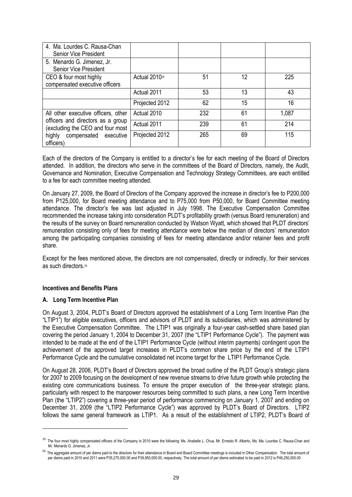| 4. Ma. Lourdes C. Rausa-Chan<br><b>Senior Vice President</b>                                                                                              |                           |     |    |       |
|-----------------------------------------------------------------------------------------------------------------------------------------------------------|---------------------------|-----|----|-------|
| 5. Menardo G. Jimenez, Jr.<br><b>Senior Vice President</b>                                                                                                |                           |     |    |       |
| CEO & four most highly<br>compensated executive officers                                                                                                  | Actual 2010 <sup>25</sup> | 51  | 12 | 225   |
|                                                                                                                                                           | Actual 2011               | 53  | 13 | 43    |
|                                                                                                                                                           | Projected 2012            | 62  | 15 | 16    |
| All other executive officers, other<br>officers and directors as a group<br>(excluding the CEO and four most<br>highly compensated executive<br>officers) | Actual 2010               | 232 | 61 | 1,087 |
|                                                                                                                                                           | Actual 2011               | 239 | 61 | 214   |
|                                                                                                                                                           | Projected 2012            | 265 | 69 | 115   |

Each of the directors of the Company is entitled to a director's fee for each meeting of the Board of Directors attended. In addition, the directors who serve in the committees of the Board of Directors, namely, the Audit, Governance and Nomination, Executive Compensation and Technology Strategy Committees, are each entitled to a fee for each committee meeting attended.

On January 27, 2009, the Board of Directors of the Company approved the increase in director's fee to P200,000 from P125,000, for Board meeting attendance and to P75,000 from P50,000, for Board Committee meeting attendance. The director's fee was last adjusted in July 1998. The Executive Compensation Committee recommended the increase taking into consideration PLDT's profitability growth (versus Board remuneration) and the results of the survey on Board remuneration conducted by Watson Wyatt, which showed that PLDT directors' remuneration consisting only of fees for meeting attendance were below the median of directors' remuneration among the participating companies consisting of fees for meeting attendance and/or retainer fees and profit share.

Except for the fees mentioned above, the directors are not compensated, directly or indirectly, for their services as such directors.<sup>26</sup>

#### **Incentives and Benefits Plans**

#### **A. Long Term Incentive Plan**

1

On August 3, 2004, PLDT's Board of Directors approved the establishment of a Long Term Incentive Plan (the "LTIP1") for eligible executives, officers and advisors of PLDT and its subsidiaries, which was administered by the Executive Compensation Committee. The LTIP1 was originally a four-year cash-settled share based plan covering the period January 1, 2004 to December 31, 2007 (the "LTIP1 Performance Cycle"). The payment was intended to be made at the end of the LTIP1 Performance Cycle (without interim payments) contingent upon the achievement of the approved target increases in PLDT's common share price by the end of the LTIP1 Performance Cycle and the cumulative consolidated net income target for the LTIP1 Performance Cycle.

On August 28, 2006, PLDT's Board of Directors approved the broad outline of the PLDT Group's strategic plans for 2007 to 2009 focusing on the development of new revenue streams to drive future growth while protecting the existing core communications business. To ensure the proper execution of the three-year strategic plans, particularly with respect to the manpower resources being committed to such plans, a new Long Term Incentive Plan (the "LTIP2") covering a three-year period of performance commencing on January 1, 2007 and ending on December 31, 2009 (the "LTIP2 Performance Cycle") was approved by PLDT's Board of Directors. LTIP2 follows the same general framework as LTIP1. As a result of the establishment of LTIP2, PLDT's Board of

<sup>&</sup>lt;sup>25</sup> The four most highly compensated officers of the Company in 2010 were the following: Ms. Anabelle L. Chua, Mr. Ernesto R. Alberto, Ms. Ma. Lourdes C. Rausa-Chan and Mr. Menardo G. Jimenez, Jr.

<sup>&</sup>lt;sup>26</sup> The aggregate amount of per diems paid to the directors for their attendance in Board and Board Committee meetings is included in Other Compensation. The total amount of per diems paid in 2010 and 2011 were P35,275,000.00 and P39,950,000.00, respectively. The total amount of per diems estimated to be paid in 2012 is P46,250,000.00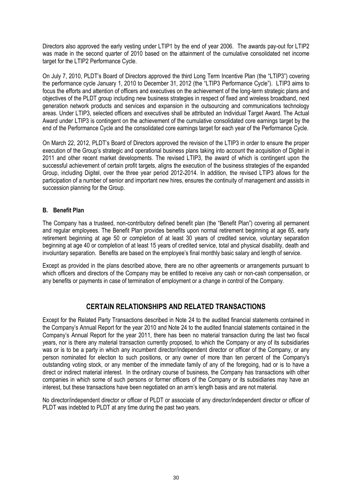Directors also approved the early vesting under LTIP1 by the end of year 2006. The awards pay-out for LTIP2 was made in the second quarter of 2010 based on the attainment of the cumulative consolidated net income target for the LTIP2 Performance Cycle.

On July 7, 2010, PLDT's Board of Directors approved the third Long Term Incentive Plan (the "LTIP3") covering the performance cycle January 1, 2010 to December 31, 2012 (the "LTIP3 Performance Cycle"). LTIP3 aims to focus the efforts and attention of officers and executives on the achievement of the long-term strategic plans and objectives of the PLDT group including new business strategies in respect of fixed and wireless broadband, next generation network products and services and expansion in the outsourcing and communications technology areas. Under LTIP3, selected officers and executives shall be attributed an Individual Target Award. The Actual Award under LTIP3 is contingent on the achievement of the cumulative consolidated core earnings target by the end of the Performance Cycle and the consolidated core earnings target for each year of the Performance Cycle.

On March 22, 2012, PLDT's Board of Directors approved the revision of the LTIP3 in order to ensure the proper execution of the Group's strategic and operational business plans taking into account the acquisition of Digitel in 2011 and other recent market developments. The revised LTIP3, the award of which is contingent upon the successful achievement of certain profit targets, aligns the execution of the business strategies of the expanded Group, including Digitel, over the three year period 2012-2014. In addition, the revised LTIP3 allows for the participation of a number of senior and important new hires, ensures the continuity of management and assists in succession planning for the Group.

#### **B. Benefit Plan**

The Company has a trusteed, non-contributory defined benefit plan (the "Benefit Plan") covering all permanent and regular employees. The Benefit Plan provides benefits upon normal retirement beginning at age 65, early retirement beginning at age 50 or completion of at least 30 years of credited service, voluntary separation beginning at age 40 or completion of at least 15 years of credited service, total and physical disability, death and involuntary separation. Benefits are based on the employee's final monthly basic salary and length of service.

Except as provided in the plans described above, there are no other agreements or arrangements pursuant to which officers and directors of the Company may be entitled to receive any cash or non-cash compensation, or any benefits or payments in case of termination of employment or a change in control of the Company.

# **CERTAIN RELATIONSHIPS AND RELATED TRANSACTIONS**

Except for the Related Party Transactions described in Note 24 to the audited financial statements contained in the Company's Annual Report for the year 2010 and Note 24 to the audited financial statements contained in the Company's Annual Report for the year 2011, there has been no material transaction during the last two fiscal years, nor is there any material transaction currently proposed, to which the Company or any of its subsidiaries was or is to be a party in which any incumbent director/independent director or officer of the Company, or any person nominated for election to such positions, or any owner of more than ten percent of the Company's outstanding voting stock, or any member of the immediate family of any of the foregoing, had or is to have a direct or indirect material interest. In the ordinary course of business, the Company has transactions with other companies in which some of such persons or former officers of the Company or its subsidiaries may have an interest, but these transactions have been negotiated on an arm's length basis and are not material.

No director/independent director or officer of PLDT or associate of any director/independent director or officer of PLDT was indebted to PLDT at any time during the past two years.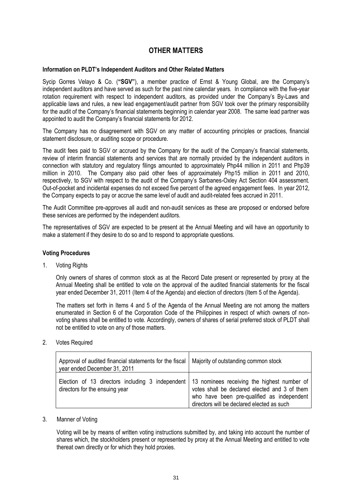## **OTHER MATTERS**

#### **Information on PLDT's Independent Auditors and Other Related Matters**

Sycip Gorres Velayo & Co. (**"SGV"**), a member practice of Ernst & Young Global, are the Company's independent auditors and have served as such for the past nine calendar years. In compliance with the five-year rotation requirement with respect to independent auditors, as provided under the Company's By-Laws and applicable laws and rules, a new lead engagement/audit partner from SGV took over the primary responsibility for the audit of the Company's financial statements beginning in calendar year 2008. The same lead partner was appointed to audit the Company's financial statements for 2012.

The Company has no disagreement with SGV on any matter of accounting principles or practices, financial statement disclosure, or auditing scope or procedure.

The audit fees paid to SGV or accrued by the Company for the audit of the Company's financial statements, review of interim financial statements and services that are normally provided by the independent auditors in connection with statutory and regulatory filings amounted to approximately Php44 million in 2011 and Php39 million in 2010. The Company also paid other fees of approximately Php15 million in 2011 and 2010, respectively, to SGV with respect to the audit of the Company's Sarbanes-Oxley Act Section 404 assessment. Out-of-pocket and incidental expenses do not exceed five percent of the agreed engagement fees. In year 2012, the Company expects to pay or accrue the same level of audit and audit-related fees accrued in 2011.

The Audit Committee pre-approves all audit and non-audit services as these are proposed or endorsed before these services are performed by the independent auditors.

The representatives of SGV are expected to be present at the Annual Meeting and will have an opportunity to make a statement if they desire to do so and to respond to appropriate questions.

#### **Voting Procedures**

1. Voting Rights

Only owners of shares of common stock as at the Record Date present or represented by proxy at the Annual Meeting shall be entitled to vote on the approval of the audited financial statements for the fiscal year ended December 31, 2011 (Item 4 of the Agenda) and election of directors (Item 5 of the Agenda).

The matters set forth in Items 4 and 5 of the Agenda of the Annual Meeting are not among the matters enumerated in Section 6 of the Corporation Code of the Philippines in respect of which owners of nonvoting shares shall be entitled to vote. Accordingly, owners of shares of serial preferred stock of PLDT shall not be entitled to vote on any of those matters.

2. Votes Required

| Approval of audited financial statements for the fiscal<br>year ended December 31, 2011                                          | Majority of outstanding common stock                                                                                                      |
|----------------------------------------------------------------------------------------------------------------------------------|-------------------------------------------------------------------------------------------------------------------------------------------|
| Election of 13 directors including 3 independent   13 nominees receiving the highest number of<br>directors for the ensuing year | votes shall be declared elected and 3 of them<br>who have been pre-qualified as independent<br>directors will be declared elected as such |

#### 3. Manner of Voting

Voting will be by means of written voting instructions submitted by, and taking into account the number of shares which, the stockholders present or represented by proxy at the Annual Meeting and entitled to vote thereat own directly or for which they hold proxies.